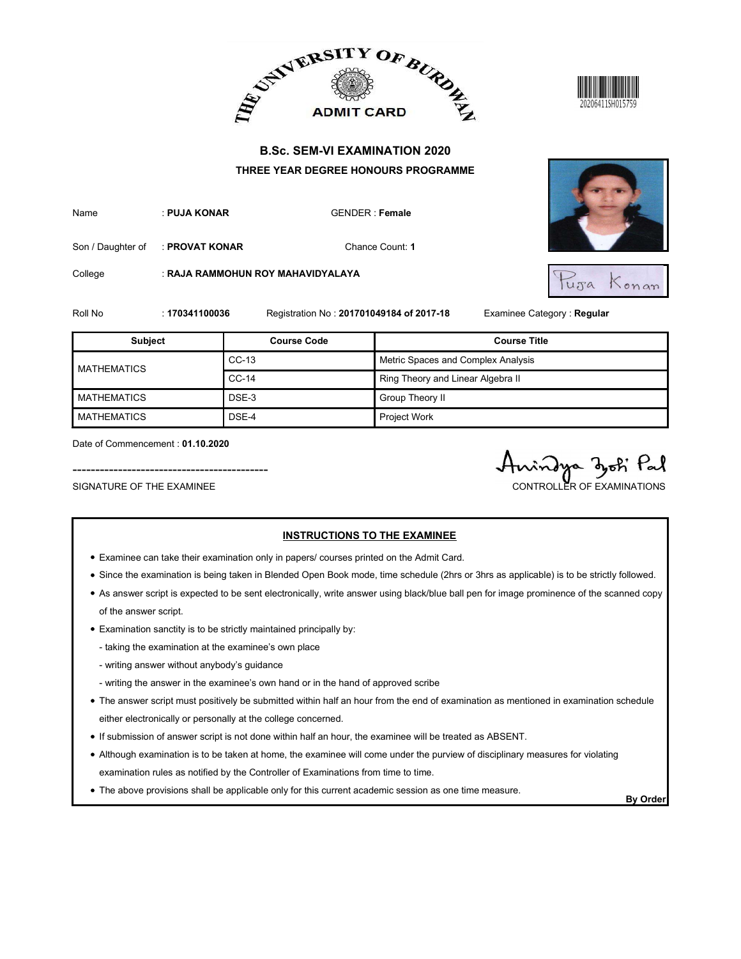



| Name | : PUJA KONAR | GENDER : Fem |
|------|--------------|--------------|
|      |              |              |



| <b>B.Sc. SEM-VI EXAMINATION 2020</b><br>THREE YEAR DEGREE HONOURS PROGRAMME<br>: PUJA KONAR<br><b>GENDER: Female</b><br>Chance Count: 1<br>: PROVAT KONAR<br>: RAJA RAMMOHUN ROY MAHAVIDYALAYA<br>Tuja<br>Konan<br>Registration No: 201701049184 of 2017-18<br>Examinee Category: Regular<br>: 170341100036<br><b>Course Title</b><br><b>Subject</b><br><b>Course Code</b><br>$CC-13$<br>Metric Spaces and Complex Analysis<br><b>MATHEMATICS</b><br>$CC-14$<br>Ring Theory and Linear Algebra II<br>DSE-3<br>Group Theory II<br>Project Work<br>DSE-4<br>Date of Commencement: 01.10.2020<br>Pal<br>indya doth<br>SIGNATURE OF THE EXAMINEE<br>CONTROLLER OF EXAMINATIONS |                    |  | ADMIT CARD AND ALLEY ADMIT CARD AT |  |
|----------------------------------------------------------------------------------------------------------------------------------------------------------------------------------------------------------------------------------------------------------------------------------------------------------------------------------------------------------------------------------------------------------------------------------------------------------------------------------------------------------------------------------------------------------------------------------------------------------------------------------------------------------------------------|--------------------|--|------------------------------------|--|
|                                                                                                                                                                                                                                                                                                                                                                                                                                                                                                                                                                                                                                                                            |                    |  |                                    |  |
|                                                                                                                                                                                                                                                                                                                                                                                                                                                                                                                                                                                                                                                                            | Name               |  |                                    |  |
|                                                                                                                                                                                                                                                                                                                                                                                                                                                                                                                                                                                                                                                                            | Son / Daughter of  |  |                                    |  |
|                                                                                                                                                                                                                                                                                                                                                                                                                                                                                                                                                                                                                                                                            | College            |  |                                    |  |
|                                                                                                                                                                                                                                                                                                                                                                                                                                                                                                                                                                                                                                                                            | Roll No            |  |                                    |  |
|                                                                                                                                                                                                                                                                                                                                                                                                                                                                                                                                                                                                                                                                            |                    |  |                                    |  |
|                                                                                                                                                                                                                                                                                                                                                                                                                                                                                                                                                                                                                                                                            |                    |  |                                    |  |
|                                                                                                                                                                                                                                                                                                                                                                                                                                                                                                                                                                                                                                                                            |                    |  |                                    |  |
|                                                                                                                                                                                                                                                                                                                                                                                                                                                                                                                                                                                                                                                                            | <b>MATHEMATICS</b> |  |                                    |  |
|                                                                                                                                                                                                                                                                                                                                                                                                                                                                                                                                                                                                                                                                            | <b>MATHEMATICS</b> |  |                                    |  |
| <b>INSTRUCTIONS TO THE EXAMINEE</b>                                                                                                                                                                                                                                                                                                                                                                                                                                                                                                                                                                                                                                        |                    |  |                                    |  |

- Examinee can take their examination only in papers/ courses printed on the Admit Card.
- Since the examination is being taken in Blended Open Book mode, time schedule (2hrs or 3hrs as applicable) is to be strictly followed.
- As answer script is expected to be sent electronically, write answer using black/blue ball pen for image prominence of the scanned copy of the answer script.
- Examination sanctity is to be strictly maintained principally by:
	- taking the examination at the examinee's own place
	- writing answer without anybody's guidance
	- writing the answer in the examinee's own hand or in the hand of approved scribe
- The answer script must positively be submitted within half an hour from the end of examination as mentioned in examination schedule either electronically or personally at the college concerned.
- If submission of answer script is not done within half an hour, the examinee will be treated as ABSENT.
- Although examination is to be taken at home, the examinee will come under the purview of disciplinary measures for violating examination rules as notified by the Controller of Examinations from time to time.
- The above provisions shall be applicable only for this current academic session as one time measure.<br>By Order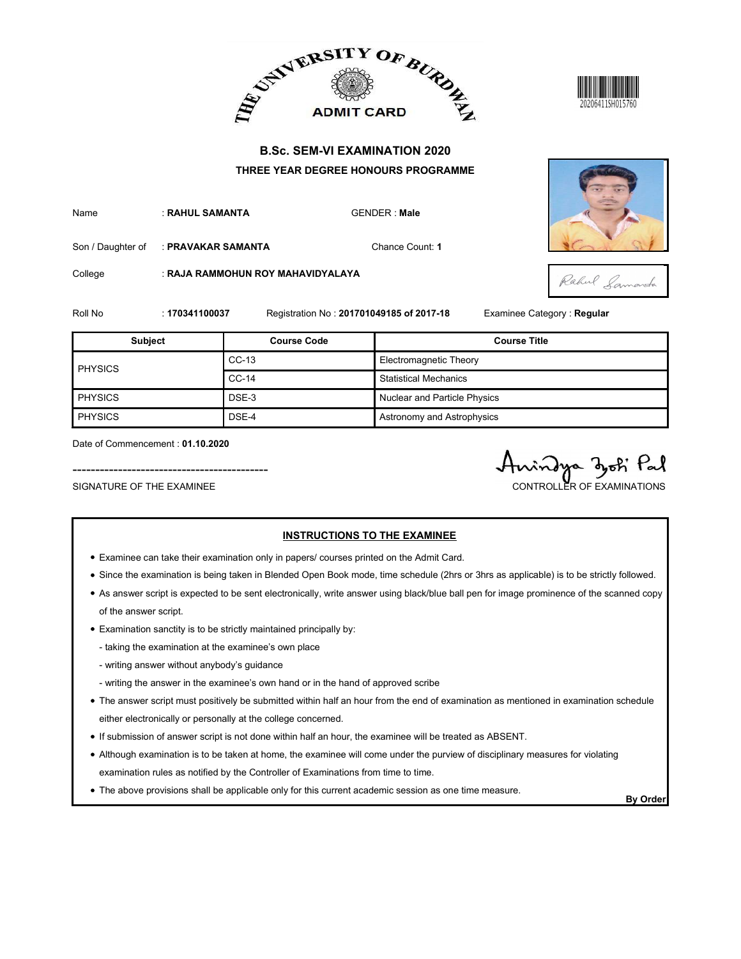





|                                                               |                    |                                   | ADMIT CARD BURDE                                                                                                                | 20206411SH015760                            |
|---------------------------------------------------------------|--------------------|-----------------------------------|---------------------------------------------------------------------------------------------------------------------------------|---------------------------------------------|
|                                                               |                    |                                   | <b>B.Sc. SEM-VI EXAMINATION 2020</b><br>THREE YEAR DEGREE HONOURS PROGRAMME                                                     |                                             |
| Name                                                          | : RAHUL SAMANTA    |                                   | <b>GENDER: Male</b>                                                                                                             |                                             |
| Son / Daughter of                                             | : PRAVAKAR SAMANTA |                                   | Chance Count: 1                                                                                                                 |                                             |
| College                                                       |                    | : RAJA RAMMOHUN ROY MAHAVIDYALAYA |                                                                                                                                 | Rahul Lamarcha                              |
| Roll No                                                       | : 170341100037     |                                   | Registration No: 201701049185 of 2017-18                                                                                        | Examinee Category : Regular                 |
| <b>Subject</b>                                                |                    | <b>Course Code</b>                |                                                                                                                                 | <b>Course Title</b>                         |
|                                                               |                    | $CC-13$                           | Electromagnetic Theory                                                                                                          |                                             |
| <b>PHYSICS</b>                                                |                    | $CC-14$                           | <b>Statistical Mechanics</b>                                                                                                    |                                             |
| <b>PHYSICS</b>                                                |                    | DSE-3                             | Nuclear and Particle Physics                                                                                                    |                                             |
| <b>PHYSICS</b>                                                |                    | DSE-4                             | Astronomy and Astrophysics                                                                                                      |                                             |
| Date of Commencement: 01.10.2020<br>SIGNATURE OF THE EXAMINEE |                    |                                   |                                                                                                                                 | indya dok Pal<br>CONTROLLER OF EXAMINATIONS |
|                                                               |                    |                                   | <b>INSTRUCTIONS TO THE EXAMINEE</b><br>• Examinee can take their examination only in papers/ courses printed on the Admit Card. |                                             |

- Examinee can take their examination only in papers/ courses printed on the Admit Card.
- Since the examination is being taken in Blended Open Book mode, time schedule (2hrs or 3hrs as applicable) is to be strictly followed.
- As answer script is expected to be sent electronically, write answer using black/blue ball pen for image prominence of the scanned copy of the answer script.
- Examination sanctity is to be strictly maintained principally by:
	- taking the examination at the examinee's own place
	- writing answer without anybody's guidance
	- writing the answer in the examinee's own hand or in the hand of approved scribe
- The answer script must positively be submitted within half an hour from the end of examination as mentioned in examination schedule either electronically or personally at the college concerned.
- If submission of answer script is not done within half an hour, the examinee will be treated as ABSENT.
- Although examination is to be taken at home, the examinee will come under the purview of disciplinary measures for violating examination rules as notified by the Controller of Examinations from time to time.
- The above provisions shall be applicable only for this current academic session as one time measure.<br>By Order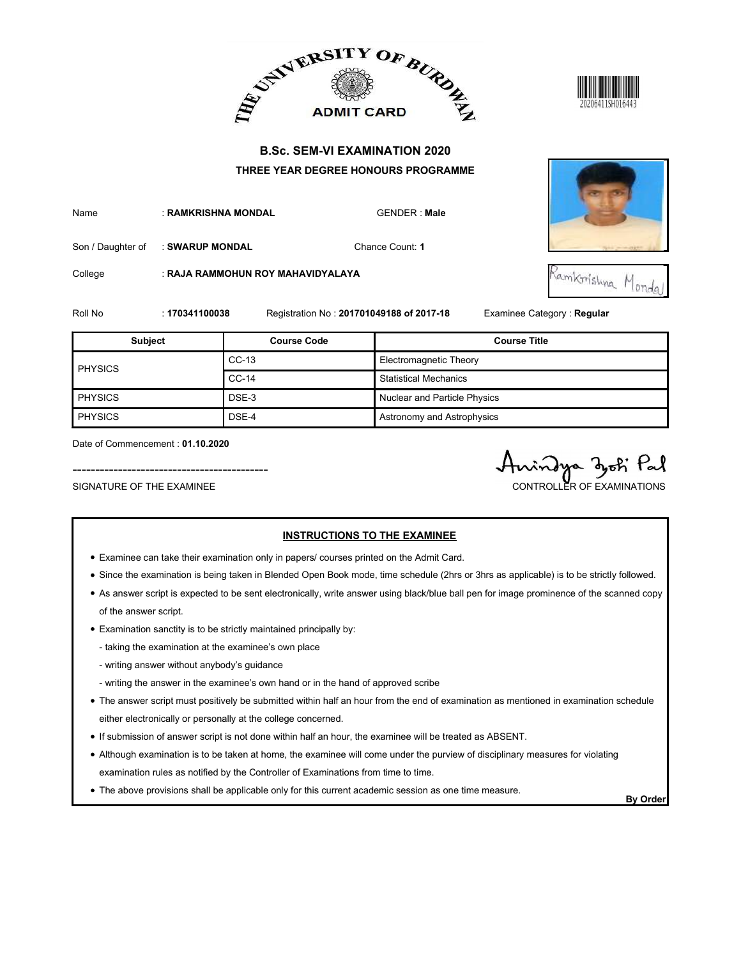





|                                                               |                     |                                                                                          | ADMIT CARD AND ALLEY ADMIT CARD AT       |                                              |
|---------------------------------------------------------------|---------------------|------------------------------------------------------------------------------------------|------------------------------------------|----------------------------------------------|
|                                                               |                     |                                                                                          | <b>B.Sc. SEM-VI EXAMINATION 2020</b>     |                                              |
|                                                               |                     |                                                                                          | THREE YEAR DEGREE HONOURS PROGRAMME      |                                              |
| Name                                                          | : RAMKRISHNA MONDAL |                                                                                          | <b>GENDER: Male</b>                      |                                              |
| Son / Daughter of                                             | : SWARUP MONDAL     |                                                                                          | Chance Count: 1                          |                                              |
| College                                                       |                     | : RAJA RAMMOHUN ROY MAHAVIDYALAYA                                                        |                                          | Ramkrishna Monda'                            |
| Roll No                                                       | : 170341100038      |                                                                                          | Registration No: 201701049188 of 2017-18 | Examinee Category : Regular                  |
| <b>Subject</b>                                                |                     | <b>Course Code</b>                                                                       |                                          | <b>Course Title</b>                          |
|                                                               |                     | $CC-13$                                                                                  | Electromagnetic Theory                   |                                              |
| <b>PHYSICS</b>                                                |                     | $CC-14$                                                                                  | <b>Statistical Mechanics</b>             |                                              |
| <b>PHYSICS</b>                                                |                     | DSE-3                                                                                    | Nuclear and Particle Physics             |                                              |
| <b>PHYSICS</b>                                                |                     | DSE-4                                                                                    | Astronomy and Astrophysics               |                                              |
| Date of Commencement: 01.10.2020<br>SIGNATURE OF THE EXAMINEE |                     |                                                                                          |                                          | indya zoti Pal<br>CONTROLLER OF EXAMINATIONS |
|                                                               |                     | • Examinee can take their examination only in papers/ courses printed on the Admit Card. | <b>INSTRUCTIONS TO THE EXAMINEE</b>      |                                              |

- Examinee can take their examination only in papers/ courses printed on the Admit Card.
- Since the examination is being taken in Blended Open Book mode, time schedule (2hrs or 3hrs as applicable) is to be strictly followed.
- As answer script is expected to be sent electronically, write answer using black/blue ball pen for image prominence of the scanned copy of the answer script.
- Examination sanctity is to be strictly maintained principally by:
	- taking the examination at the examinee's own place
	- writing answer without anybody's guidance
	- writing the answer in the examinee's own hand or in the hand of approved scribe
- The answer script must positively be submitted within half an hour from the end of examination as mentioned in examination schedule either electronically or personally at the college concerned.
- If submission of answer script is not done within half an hour, the examinee will be treated as ABSENT.
- Although examination is to be taken at home, the examinee will come under the purview of disciplinary measures for violating examination rules as notified by the Controller of Examinations from time to time.
- The above provisions shall be applicable only for this current academic session as one time measure.<br>By Order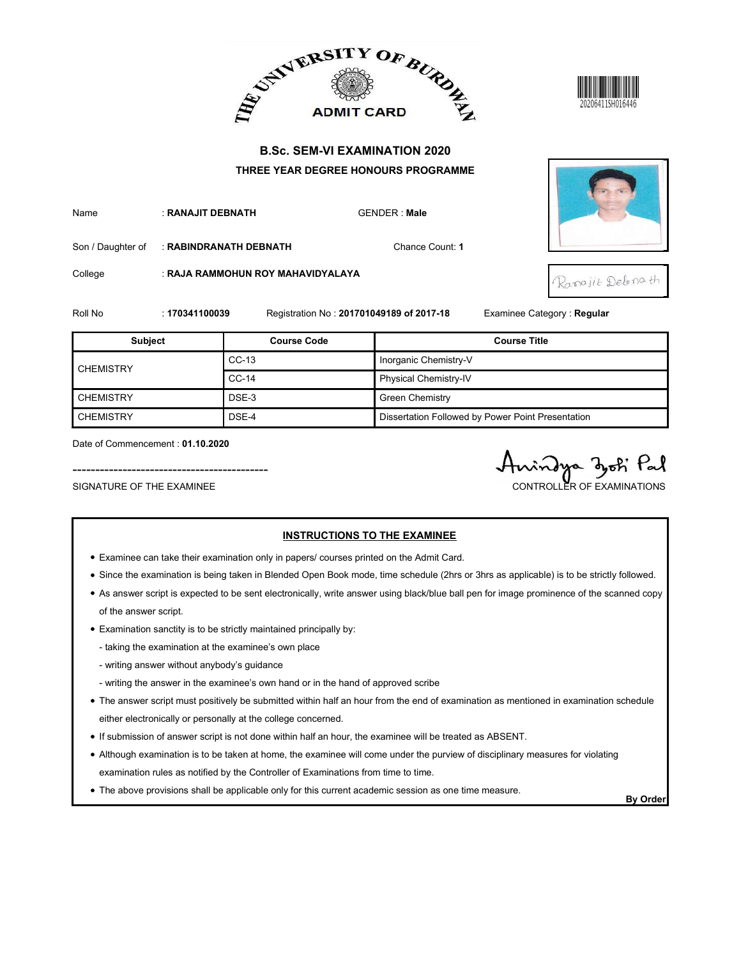





|                                                               |                   |                                   | ADMIT CARD BURDE                                                                                                                | 20206411SH016446                               |
|---------------------------------------------------------------|-------------------|-----------------------------------|---------------------------------------------------------------------------------------------------------------------------------|------------------------------------------------|
|                                                               |                   |                                   | <b>B.Sc. SEM-VI EXAMINATION 2020</b>                                                                                            |                                                |
|                                                               |                   |                                   | THREE YEAR DEGREE HONOURS PROGRAMME                                                                                             |                                                |
| Name                                                          | : RANAJIT DEBNATH |                                   | <b>GENDER: Male</b>                                                                                                             |                                                |
| Son / Daughter of                                             |                   | : RABINDRANATH DEBNATH            | Chance Count: 1                                                                                                                 |                                                |
| College                                                       |                   | : RAJA RAMMOHUN ROY MAHAVIDYALAYA |                                                                                                                                 | Rangjit Deboath                                |
| Roll No                                                       | : 170341100039    |                                   | Registration No: 201701049189 of 2017-18                                                                                        | Examinee Category: Regular                     |
| <b>Subject</b>                                                |                   | <b>Course Code</b>                |                                                                                                                                 | <b>Course Title</b>                            |
|                                                               |                   | $CC-13$                           | Inorganic Chemistry-V                                                                                                           |                                                |
| <b>CHEMISTRY</b>                                              |                   | $CC-14$                           | Physical Chemistry-IV                                                                                                           |                                                |
| <b>CHEMISTRY</b>                                              |                   | DSE-3                             | <b>Green Chemistry</b>                                                                                                          |                                                |
| <b>CHEMISTRY</b>                                              |                   | DSE-4                             | Dissertation Followed by Power Point Presentation                                                                               |                                                |
| Date of Commencement: 01.10.2020<br>SIGNATURE OF THE EXAMINEE |                   |                                   |                                                                                                                                 | rindya djoti Pal<br>CONTROLLER OF EXAMINATIONS |
|                                                               |                   |                                   | <b>INSTRUCTIONS TO THE EXAMINEE</b><br>• Examinee can take their examination only in papers/ courses printed on the Admit Card. |                                                |

- Examinee can take their examination only in papers/ courses printed on the Admit Card.
- Since the examination is being taken in Blended Open Book mode, time schedule (2hrs or 3hrs as applicable) is to be strictly followed.
- As answer script is expected to be sent electronically, write answer using black/blue ball pen for image prominence of the scanned copy of the answer script.
- Examination sanctity is to be strictly maintained principally by:
	- taking the examination at the examinee's own place
	- writing answer without anybody's guidance
	- writing the answer in the examinee's own hand or in the hand of approved scribe
- The answer script must positively be submitted within half an hour from the end of examination as mentioned in examination schedule either electronically or personally at the college concerned.
- If submission of answer script is not done within half an hour, the examinee will be treated as ABSENT.
- Although examination is to be taken at home, the examinee will come under the purview of disciplinary measures for violating examination rules as notified by the Controller of Examinations from time to time.
- The above provisions shall be applicable only for this current academic session as one time measure.<br>By Order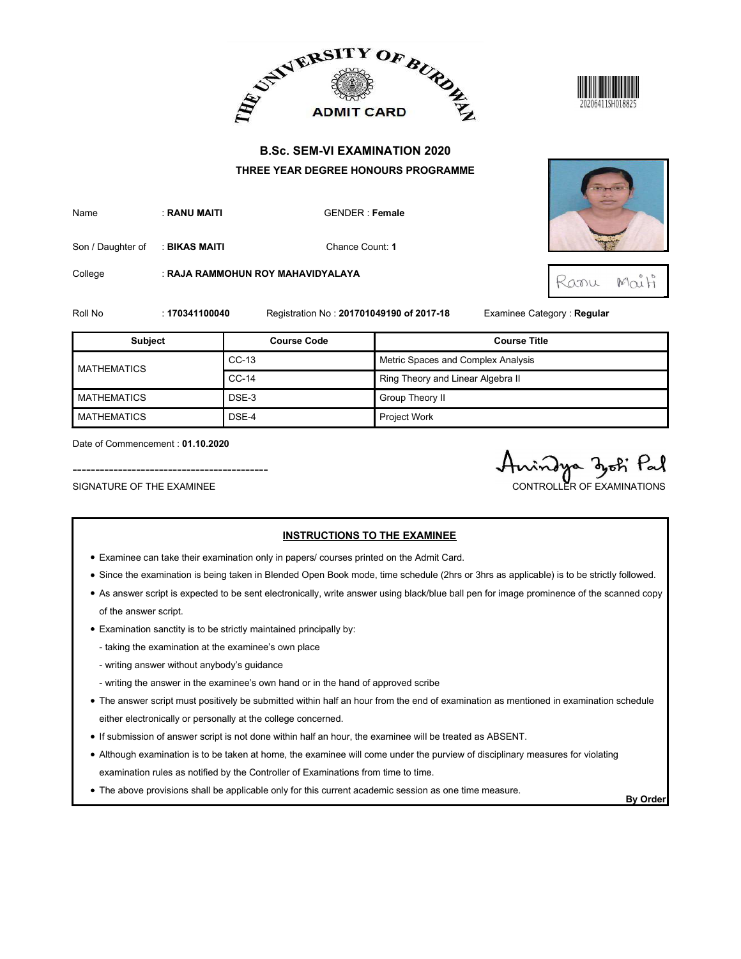



| Name | : RANU MAITI | <b>GENDER: Female</b> |
|------|--------------|-----------------------|
|      |              |                       |



|                    |                | ADMIT CARD BURDE                                                            |                                    | 20206411SH018825           |
|--------------------|----------------|-----------------------------------------------------------------------------|------------------------------------|----------------------------|
|                    |                | <b>B.Sc. SEM-VI EXAMINATION 2020</b><br>THREE YEAR DEGREE HONOURS PROGRAMME |                                    |                            |
| Name               | : RANU MAITI   | <b>GENDER: Female</b>                                                       |                                    |                            |
| Son / Daughter of  | : BIKAS MAITI  |                                                                             | Chance Count: 1                    |                            |
| College            |                | : RAJA RAMMOHUN ROY MAHAVIDYALAYA                                           |                                    | $M\alpha^{\circ}H$<br>Ranu |
| Roll No            | : 170341100040 | Registration No: 201701049190 of 2017-18                                    |                                    | Examinee Category: Regular |
|                    |                |                                                                             |                                    |                            |
| <b>Subject</b>     |                | <b>Course Code</b>                                                          |                                    | <b>Course Title</b>        |
|                    |                | $CC-13$                                                                     | Metric Spaces and Complex Analysis |                            |
| <b>MATHEMATICS</b> |                | $CC-14$                                                                     | Ring Theory and Linear Algebra II  |                            |
| <b>MATHEMATICS</b> |                | DSE-3                                                                       | Group Theory II                    |                            |
| <b>MATHEMATICS</b> |                | DSE-4                                                                       | Project Work                       |                            |

- Examinee can take their examination only in papers/ courses printed on the Admit Card.
- Since the examination is being taken in Blended Open Book mode, time schedule (2hrs or 3hrs as applicable) is to be strictly followed.
- As answer script is expected to be sent electronically, write answer using black/blue ball pen for image prominence of the scanned copy of the answer script.
- Examination sanctity is to be strictly maintained principally by:
	- taking the examination at the examinee's own place
	- writing answer without anybody's guidance
	- writing the answer in the examinee's own hand or in the hand of approved scribe
- The answer script must positively be submitted within half an hour from the end of examination as mentioned in examination schedule either electronically or personally at the college concerned.
- If submission of answer script is not done within half an hour, the examinee will be treated as ABSENT.
- Although examination is to be taken at home, the examinee will come under the purview of disciplinary measures for violating examination rules as notified by the Controller of Examinations from time to time.
- The above provisions shall be applicable only for this current academic session as one time measure.<br>By Order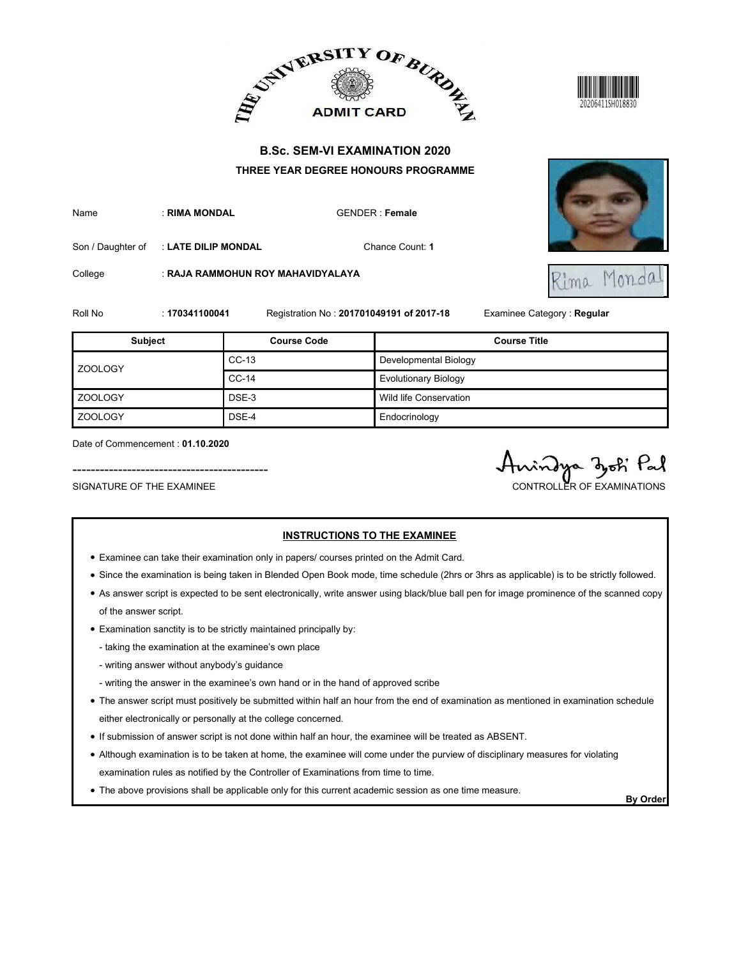





|                                                               |                     |                                                                                          | ADMIT CARD BURDE                                                            | 20206411SH018830                            |
|---------------------------------------------------------------|---------------------|------------------------------------------------------------------------------------------|-----------------------------------------------------------------------------|---------------------------------------------|
|                                                               |                     |                                                                                          | <b>B.Sc. SEM-VI EXAMINATION 2020</b><br>THREE YEAR DEGREE HONOURS PROGRAMME |                                             |
| Name                                                          | : RIMA MONDAL       |                                                                                          | <b>GENDER: Female</b>                                                       |                                             |
| Son / Daughter of                                             | : LATE DILIP MONDAL |                                                                                          | Chance Count: 1                                                             |                                             |
| College                                                       |                     | : RAJA RAMMOHUN ROY MAHAVIDYALAYA                                                        |                                                                             | Monda<br>Kima                               |
| Roll No                                                       | : 170341100041      |                                                                                          | Registration No: 201701049191 of 2017-18                                    | Examinee Category: Regular                  |
| Subject                                                       |                     | <b>Course Code</b>                                                                       |                                                                             | <b>Course Title</b>                         |
| <b>ZOOLOGY</b>                                                |                     | CC-13                                                                                    | Developmental Biology                                                       |                                             |
|                                                               |                     | CC-14                                                                                    | <b>Evolutionary Biology</b>                                                 |                                             |
| <b>ZOOLOGY</b>                                                |                     | DSE-3                                                                                    | Wild life Conservation                                                      |                                             |
| ZOOLOGY                                                       |                     | DSE-4                                                                                    | Endocrinology                                                               |                                             |
| Date of Commencement: 01.10.2020<br>SIGNATURE OF THE EXAMINEE |                     |                                                                                          |                                                                             | indya zok Pal<br>CONTROLLER OF EXAMINATIONS |
|                                                               |                     | • Examinee can take their examination only in papers/ courses printed on the Admit Card. | <b>INSTRUCTIONS TO THE EXAMINEE</b>                                         |                                             |

- Examinee can take their examination only in papers/ courses printed on the Admit Card.
- Since the examination is being taken in Blended Open Book mode, time schedule (2hrs or 3hrs as applicable) is to be strictly followed.
- As answer script is expected to be sent electronically, write answer using black/blue ball pen for image prominence of the scanned copy of the answer script.
- Examination sanctity is to be strictly maintained principally by:
	- taking the examination at the examinee's own place
	- writing answer without anybody's guidance
	- writing the answer in the examinee's own hand or in the hand of approved scribe
- The answer script must positively be submitted within half an hour from the end of examination as mentioned in examination schedule either electronically or personally at the college concerned.
- If submission of answer script is not done within half an hour, the examinee will be treated as ABSENT.
- Although examination is to be taken at home, the examinee will come under the purview of disciplinary measures for violating examination rules as notified by the Controller of Examinations from time to time.
- The above provisions shall be applicable only for this current academic session as one time measure.<br>By Order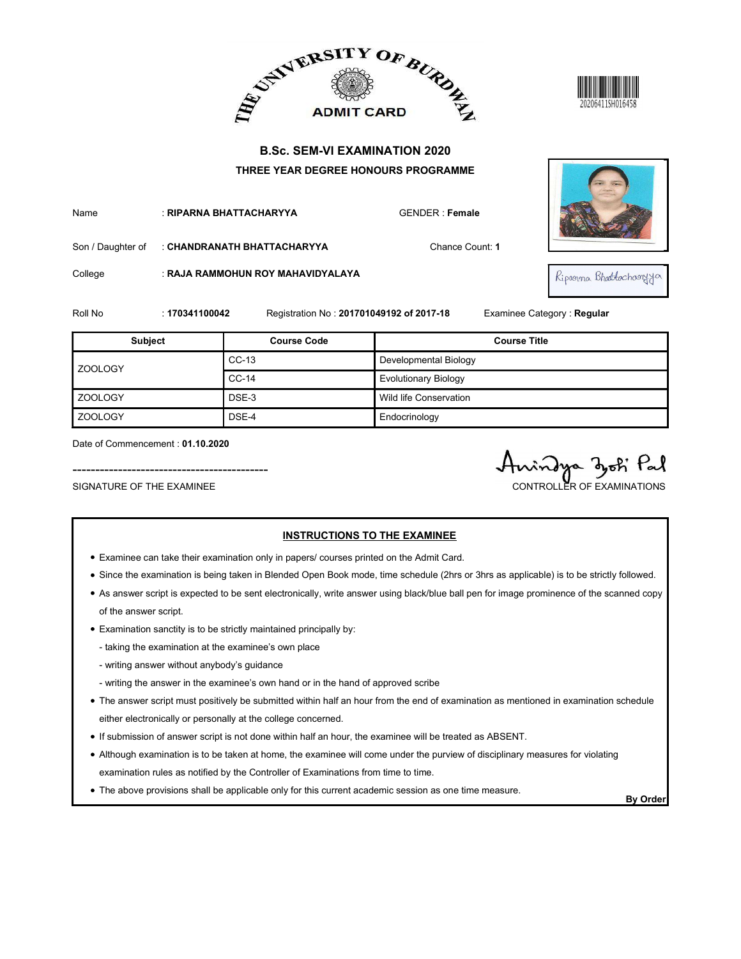



| Name | ∵ RIPARNA BHATTACHARYYA                       | <b>GENDER: Female</b> |
|------|-----------------------------------------------|-----------------------|
|      | Son / Daughter of : CHANDRANATH BHATTACHARYYA | ่ Chance Coเ          |

|                                                               |                | ADMIT CARD BURDER                                                                        |                                          |                                                |
|---------------------------------------------------------------|----------------|------------------------------------------------------------------------------------------|------------------------------------------|------------------------------------------------|
|                                                               |                | <b>B.Sc. SEM-VI EXAMINATION 2020</b>                                                     |                                          |                                                |
|                                                               |                | THREE YEAR DEGREE HONOURS PROGRAMME                                                      |                                          |                                                |
| Name                                                          |                | : RIPARNA BHATTACHARYYA                                                                  | <b>GENDER: Female</b>                    |                                                |
| Son / Daughter of                                             |                | : CHANDRANATH BHATTACHARYYA                                                              | Chance Count: 1                          |                                                |
| College                                                       |                | : RAJA RAMMOHUN ROY MAHAVIDYALAYA                                                        |                                          | Ripogrna Bhattachagyya                         |
| Roll No                                                       | : 170341100042 |                                                                                          | Registration No: 201701049192 of 2017-18 | Examinee Category: Regular                     |
| Subject                                                       |                | <b>Course Code</b>                                                                       |                                          | <b>Course Title</b>                            |
|                                                               |                | CC-13                                                                                    | Developmental Biology                    |                                                |
| <b>ZOOLOGY</b>                                                |                | CC-14                                                                                    | <b>Evolutionary Biology</b>              |                                                |
| ZOOLOGY                                                       |                | DSE-3                                                                                    | Wild life Conservation                   |                                                |
| <b>ZOOLOGY</b>                                                |                | DSE-4                                                                                    | Endocrinology                            |                                                |
| Date of Commencement: 01.10.2020<br>SIGNATURE OF THE EXAMINEE |                |                                                                                          |                                          | vindya dyoti Pal<br>CONTROLLER OF EXAMINATIONS |
|                                                               |                | • Examinee can take their examination only in papers/ courses printed on the Admit Card. | <b>INSTRUCTIONS TO THE EXAMINEE</b>      |                                                |

- Examinee can take their examination only in papers/ courses printed on the Admit Card.
- Since the examination is being taken in Blended Open Book mode, time schedule (2hrs or 3hrs as applicable) is to be strictly followed.
- As answer script is expected to be sent electronically, write answer using black/blue ball pen for image prominence of the scanned copy of the answer script.
- Examination sanctity is to be strictly maintained principally by:
	- taking the examination at the examinee's own place
	- writing answer without anybody's guidance
	- writing the answer in the examinee's own hand or in the hand of approved scribe
- The answer script must positively be submitted within half an hour from the end of examination as mentioned in examination schedule either electronically or personally at the college concerned.
- If submission of answer script is not done within half an hour, the examinee will be treated as ABSENT.
- Although examination is to be taken at home, the examinee will come under the purview of disciplinary measures for violating examination rules as notified by the Controller of Examinations from time to time.
- The above provisions shall be applicable only for this current academic session as one time measure.<br>By Order

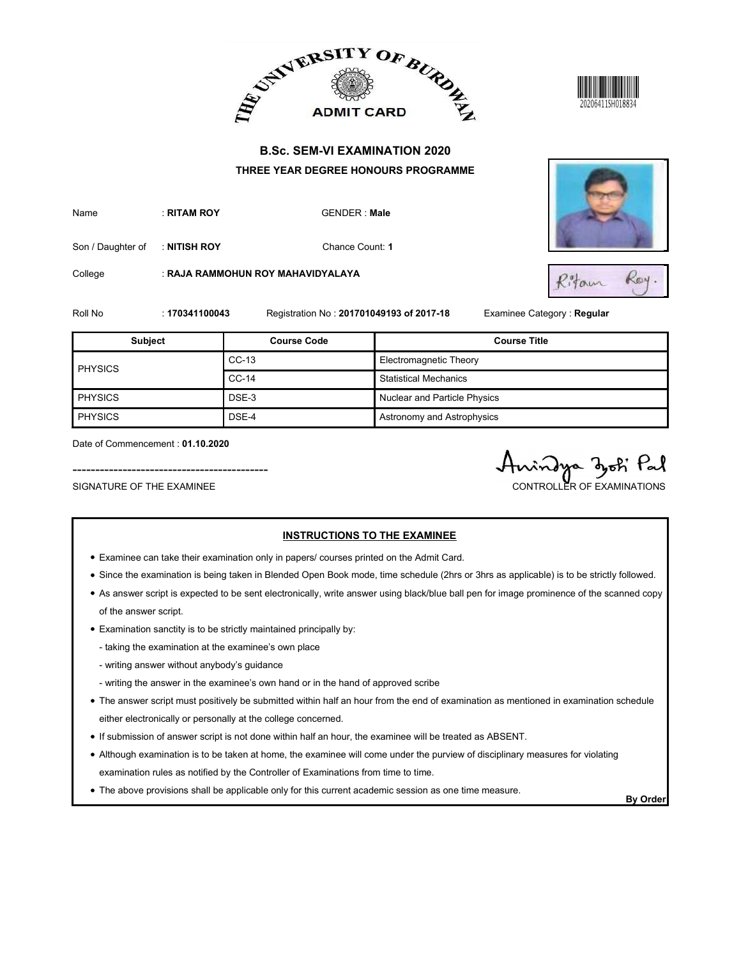



| Name | : RITAM ROY | GENDER: |
|------|-------------|---------|
|      |             |         |



|                                                               |                | ADMIT CARD AND AND ADDRESS                                                               |                                     | 20206411SH018834                               |
|---------------------------------------------------------------|----------------|------------------------------------------------------------------------------------------|-------------------------------------|------------------------------------------------|
|                                                               |                | <b>B.Sc. SEM-VI EXAMINATION 2020</b><br>THREE YEAR DEGREE HONOURS PROGRAMME              |                                     |                                                |
| Name                                                          | : RITAM ROY    | <b>GENDER: Male</b>                                                                      |                                     |                                                |
| Son / Daughter of                                             | : NITISH ROY   | Chance Count: 1                                                                          |                                     |                                                |
| College                                                       |                | : RAJA RAMMOHUN ROY MAHAVIDYALAYA                                                        |                                     | Roy.<br>Ritam                                  |
| Roll No                                                       | : 170341100043 | Registration No: 201701049193 of 2017-18                                                 |                                     | Examinee Category : Regular                    |
| <b>Subject</b>                                                |                | <b>Course Code</b>                                                                       |                                     | <b>Course Title</b>                            |
| <b>PHYSICS</b>                                                |                | $CC-13$                                                                                  | Electromagnetic Theory              |                                                |
|                                                               |                | $CC-14$                                                                                  | <b>Statistical Mechanics</b>        |                                                |
| <b>PHYSICS</b>                                                |                | DSE-3                                                                                    | Nuclear and Particle Physics        |                                                |
| PHYSICS                                                       |                | DSE-4                                                                                    | Astronomy and Astrophysics          |                                                |
| Date of Commencement: 01.10.2020<br>SIGNATURE OF THE EXAMINEE |                |                                                                                          |                                     | vindya zooti Pal<br>CONTROLLER OF EXAMINATIONS |
|                                                               |                | • Examinee can take their examination only in papers/ courses printed on the Admit Card. | <b>INSTRUCTIONS TO THE EXAMINEE</b> |                                                |

- Examinee can take their examination only in papers/ courses printed on the Admit Card.
- Since the examination is being taken in Blended Open Book mode, time schedule (2hrs or 3hrs as applicable) is to be strictly followed.
- As answer script is expected to be sent electronically, write answer using black/blue ball pen for image prominence of the scanned copy of the answer script.
- Examination sanctity is to be strictly maintained principally by:
	- taking the examination at the examinee's own place
	- writing answer without anybody's guidance
	- writing the answer in the examinee's own hand or in the hand of approved scribe
- The answer script must positively be submitted within half an hour from the end of examination as mentioned in examination schedule either electronically or personally at the college concerned.
- If submission of answer script is not done within half an hour, the examinee will be treated as ABSENT.
- Although examination is to be taken at home, the examinee will come under the purview of disciplinary measures for violating examination rules as notified by the Controller of Examinations from time to time.
- The above provisions shall be applicable only for this current academic session as one time measure.<br>By Order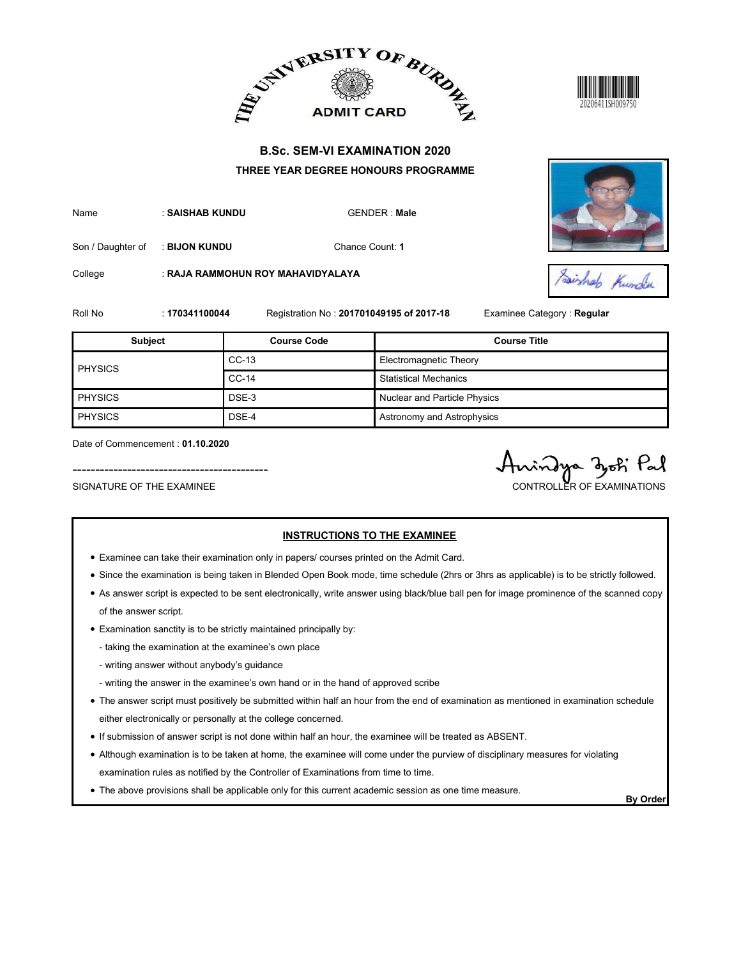





|                                                               |                |                                                                                          | ADMIT CARD AND ALLEY ADMIT CARD AT       |                                                |
|---------------------------------------------------------------|----------------|------------------------------------------------------------------------------------------|------------------------------------------|------------------------------------------------|
|                                                               |                |                                                                                          | <b>B.Sc. SEM-VI EXAMINATION 2020</b>     |                                                |
|                                                               |                |                                                                                          | THREE YEAR DEGREE HONOURS PROGRAMME      |                                                |
| Name                                                          |                | : SAISHAB KUNDU<br><b>GENDER: Male</b>                                                   |                                          |                                                |
| Son / Daughter of                                             | : BIJON KUNDU  |                                                                                          | Chance Count: 1                          |                                                |
| College                                                       |                | : RAJA RAMMOHUN ROY MAHAVIDYALAYA                                                        |                                          | Saishab Kunder                                 |
| Roll No                                                       | : 170341100044 |                                                                                          | Registration No: 201701049195 of 2017-18 | Examinee Category : Regular                    |
| <b>Subject</b>                                                |                | <b>Course Code</b>                                                                       |                                          | <b>Course Title</b>                            |
| <b>PHYSICS</b>                                                |                | $CC-13$                                                                                  | Electromagnetic Theory                   |                                                |
|                                                               |                | $CC-14$                                                                                  | <b>Statistical Mechanics</b>             |                                                |
| <b>PHYSICS</b>                                                |                | DSE-3                                                                                    | Nuclear and Particle Physics             |                                                |
| <b>PHYSICS</b>                                                |                | DSE-4                                                                                    | Astronomy and Astrophysics               |                                                |
| Date of Commencement: 01.10.2020<br>SIGNATURE OF THE EXAMINEE |                |                                                                                          |                                          | rindya djoti Pal<br>CONTROLLER OF EXAMINATIONS |
|                                                               |                | • Examinee can take their examination only in papers/ courses printed on the Admit Card. | <b>INSTRUCTIONS TO THE EXAMINEE</b>      |                                                |

- Examinee can take their examination only in papers/ courses printed on the Admit Card.
- Since the examination is being taken in Blended Open Book mode, time schedule (2hrs or 3hrs as applicable) is to be strictly followed.
- As answer script is expected to be sent electronically, write answer using black/blue ball pen for image prominence of the scanned copy of the answer script.
- Examination sanctity is to be strictly maintained principally by:
	- taking the examination at the examinee's own place
	- writing answer without anybody's guidance
	- writing the answer in the examinee's own hand or in the hand of approved scribe
- The answer script must positively be submitted within half an hour from the end of examination as mentioned in examination schedule either electronically or personally at the college concerned.
- If submission of answer script is not done within half an hour, the examinee will be treated as ABSENT.
- Although examination is to be taken at home, the examinee will come under the purview of disciplinary measures for violating examination rules as notified by the Controller of Examinations from time to time.
- The above provisions shall be applicable only for this current academic session as one time measure.<br>By Order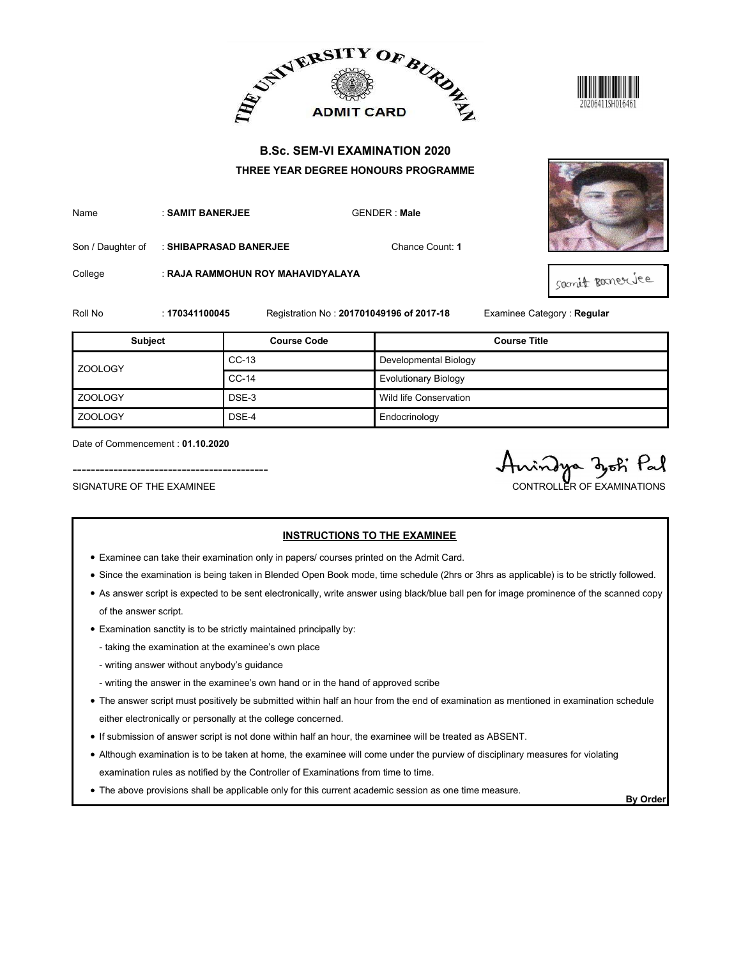





|                                                               |                        |                                   | ADMIT CARD AND ALLEY ADMIT CARD AT                                                                                              | 20206411SH016461                              |
|---------------------------------------------------------------|------------------------|-----------------------------------|---------------------------------------------------------------------------------------------------------------------------------|-----------------------------------------------|
|                                                               |                        |                                   | <b>B.Sc. SEM-VI EXAMINATION 2020</b><br>THREE YEAR DEGREE HONOURS PROGRAMME                                                     |                                               |
| Name                                                          | : SAMIT BANERJEE       |                                   | <b>GENDER: Male</b>                                                                                                             |                                               |
| Son / Daughter of                                             | : SHIBAPRASAD BANERJEE |                                   | Chance Count: 1                                                                                                                 |                                               |
| College                                                       |                        | : RAJA RAMMOHUN ROY MAHAVIDYALAYA |                                                                                                                                 | samit ponerice                                |
| Roll No                                                       | : 170341100045         |                                   | Registration No: 201701049196 of 2017-18                                                                                        | Examinee Category: Regular                    |
| Subject                                                       |                        | <b>Course Code</b>                |                                                                                                                                 | <b>Course Title</b>                           |
|                                                               |                        | $CC-13$                           | Developmental Biology                                                                                                           |                                               |
| ZOOLOGY                                                       |                        | $CC-14$                           | <b>Evolutionary Biology</b>                                                                                                     |                                               |
| <b>ZOOLOGY</b>                                                |                        | DSE-3                             | Wild life Conservation                                                                                                          |                                               |
| ZOOLOGY                                                       |                        | DSE-4                             | Endocrinology                                                                                                                   |                                               |
| Date of Commencement: 01.10.2020<br>SIGNATURE OF THE EXAMINEE |                        |                                   |                                                                                                                                 | indya djoti Pal<br>CONTROLLER OF EXAMINATIONS |
|                                                               |                        |                                   | <b>INSTRUCTIONS TO THE EXAMINEE</b><br>• Examinee can take their examination only in papers/ courses printed on the Admit Card. |                                               |

- Examinee can take their examination only in papers/ courses printed on the Admit Card.
- Since the examination is being taken in Blended Open Book mode, time schedule (2hrs or 3hrs as applicable) is to be strictly followed.
- As answer script is expected to be sent electronically, write answer using black/blue ball pen for image prominence of the scanned copy of the answer script.
- Examination sanctity is to be strictly maintained principally by:
	- taking the examination at the examinee's own place
	- writing answer without anybody's guidance
	- writing the answer in the examinee's own hand or in the hand of approved scribe
- The answer script must positively be submitted within half an hour from the end of examination as mentioned in examination schedule either electronically or personally at the college concerned.
- If submission of answer script is not done within half an hour, the examinee will be treated as ABSENT.
- Although examination is to be taken at home, the examinee will come under the purview of disciplinary measures for violating examination rules as notified by the Controller of Examinations from time to time.
- The above provisions shall be applicable only for this current academic session as one time measure.<br>By Order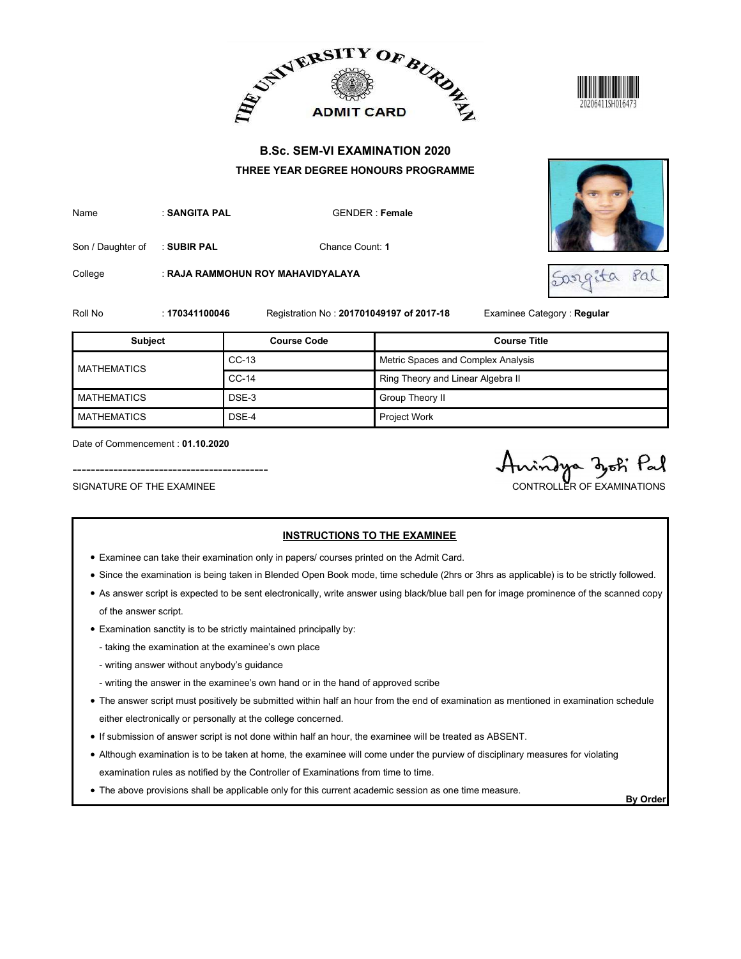





|                                                               |                | ADMIT CARD BURDE                                                                         |                                                                         |                                                   |
|---------------------------------------------------------------|----------------|------------------------------------------------------------------------------------------|-------------------------------------------------------------------------|---------------------------------------------------|
|                                                               |                | <b>B.Sc. SEM-VI EXAMINATION 2020</b><br>THREE YEAR DEGREE HONOURS PROGRAMME              |                                                                         |                                                   |
| Name                                                          | : SANGITA PAL  |                                                                                          | <b>GENDER: Female</b>                                                   |                                                   |
| Son / Daughter of                                             | : SUBIR PAL    | Chance Count: 1                                                                          |                                                                         |                                                   |
| College                                                       |                | : RAJA RAMMOHUN ROY MAHAVIDYALAYA                                                        |                                                                         | Pal<br>Sargita                                    |
| Roll No                                                       | : 170341100046 | Registration No: 201701049197 of 2017-18<br><b>Course Code</b>                           |                                                                         | Examinee Category: Regular<br><b>Course Title</b> |
| <b>Subject</b>                                                |                |                                                                                          |                                                                         |                                                   |
| <b>MATHEMATICS</b>                                            |                | $CC-13$<br>$CC-14$                                                                       | Metric Spaces and Complex Analysis<br>Ring Theory and Linear Algebra II |                                                   |
|                                                               |                |                                                                                          |                                                                         |                                                   |
| <b>MATHEMATICS</b>                                            |                | DSE-3                                                                                    | Group Theory II                                                         |                                                   |
| <b>MATHEMATICS</b>                                            |                | DSE-4                                                                                    | Project Work                                                            |                                                   |
| Date of Commencement: 01.10.2020<br>SIGNATURE OF THE EXAMINEE |                |                                                                                          |                                                                         | indya dok Pal<br>CONTROLLER OF EXAMINATIONS       |
|                                                               |                | • Examinee can take their examination only in papers/ courses printed on the Admit Card. | <b>INSTRUCTIONS TO THE EXAMINEE</b>                                     |                                                   |

- Examinee can take their examination only in papers/ courses printed on the Admit Card.
- Since the examination is being taken in Blended Open Book mode, time schedule (2hrs or 3hrs as applicable) is to be strictly followed.
- As answer script is expected to be sent electronically, write answer using black/blue ball pen for image prominence of the scanned copy of the answer script.
- Examination sanctity is to be strictly maintained principally by:
	- taking the examination at the examinee's own place
	- writing answer without anybody's guidance
	- writing the answer in the examinee's own hand or in the hand of approved scribe
- The answer script must positively be submitted within half an hour from the end of examination as mentioned in examination schedule either electronically or personally at the college concerned.
- If submission of answer script is not done within half an hour, the examinee will be treated as ABSENT.
- Although examination is to be taken at home, the examinee will come under the purview of disciplinary measures for violating examination rules as notified by the Controller of Examinations from time to time.
- The above provisions shall be applicable only for this current academic session as one time measure.<br>By Order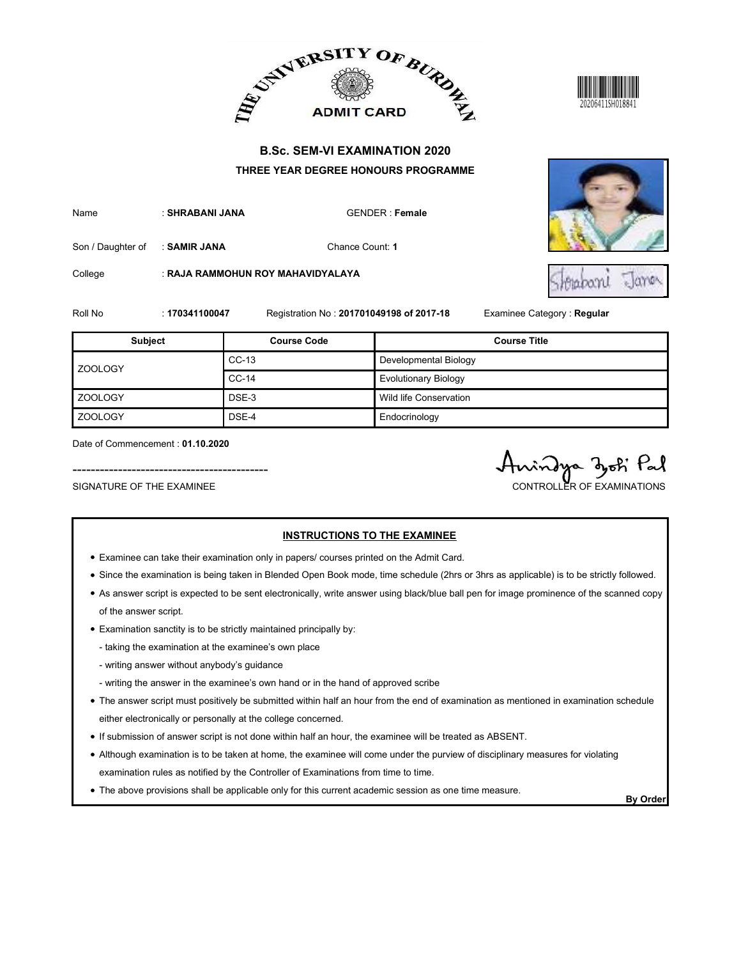





ROLL NO : 17034110047 Registration No : 201701049198 of 2017-18 Examine Category : Regular<br>
Roll No : 17034100047 Registration No : 201701049198 of 2017-18 Examine Category : Regular<br>
Roll No : 17034100047 Registration No SUBJECT COURSE TRANSPORTED AND TRIVIE OF A COURSE TRANSPORTED THE COURSE COURSE TRANSPORTED THREE YEAR DEGREE HONOURS PROGRAMME<br>
Name<br>
SAN Changhter of SAMIR JANA Change Courts The Call Course Course Course Course Course C Exploration CC-13<br>CC-14<br>CC-14<br>CC-14<br>CC-14<br>CC-14<br>CC-14 CONTRET CARD BEST TO CHANGE THE READ ONLY CARD THE BIOLOGY CONTRET CARD BOOK THERE YEAR DEGREE HONOURS PROGRAMME<br>
CHANGE CARD CONTRET Formate<br>
Change Count: 1<br>
Change Count: 1<br>
Change Count: 1<br>
Course Code Counter Card Dev CONTREE VEAR DEGREE HONOURS PROGRAMME<br>
B.S.C. SEM-VI EXAMINATION 2020<br>
THREE VEAR DEGREE HONOURS PROGRAMME<br>
Chance Count: 1<br>
Chance Count: 1<br>
Registration No : 201701049198 of 2017-18 Examine Category : Regular<br>
Course Cod EXAMINATION 2020<br>
B.Sc. SEM-VI EXAMINATION 2020<br>
THREE YEAR DEGREE HONOURS PROGRAMME<br>
Inno<br>
SHRABANI JANA<br>
Chance Count 1<br>
Chance Conservation Counter Canservation<br>
Subject<br>
200LOGY<br>
THEE YEAR DEGREE HONOURS PROGRAMME<br>
Cha EN ADMITT CARD<br>
B.S.C. SEM-VI EXAMINATION 2020<br>
THREE YEAR DEGREE HONOURS PROGRAMME<br>
SHIRABANI JANA<br>
Charles Court 1<br>
Charles Care Court 1<br>
Courtes Care Care Court 1<br>
Courtes Care Care Court 1<br>
2001009<br>
2001009<br>
2001009<br>
2 ------------------------------------------- SIGNATURE OF THE EXAMINEE CONTROLLER OF EXAMINATIONS

Date of Commencement : 01.10.2020

- Examinee can take their examination only in papers/ courses printed on the Admit Card.
- Since the examination is being taken in Blended Open Book mode, time schedule (2hrs or 3hrs as applicable) is to be strictly followed.
- As answer script is expected to be sent electronically, write answer using black/blue ball pen for image prominence of the scanned copy of the answer script.
- Examination sanctity is to be strictly maintained principally by:
	- taking the examination at the examinee's own place
	- writing answer without anybody's guidance
	- writing the answer in the examinee's own hand or in the hand of approved scribe
- The answer script must positively be submitted within half an hour from the end of examination as mentioned in examination schedule either electronically or personally at the college concerned.
- If submission of answer script is not done within half an hour, the examinee will be treated as ABSENT.
- Although examination is to be taken at home, the examinee will come under the purview of disciplinary measures for violating examination rules as notified by the Controller of Examinations from time to time.
- The above provisions shall be applicable only for this current academic session as one time measure.<br>By Order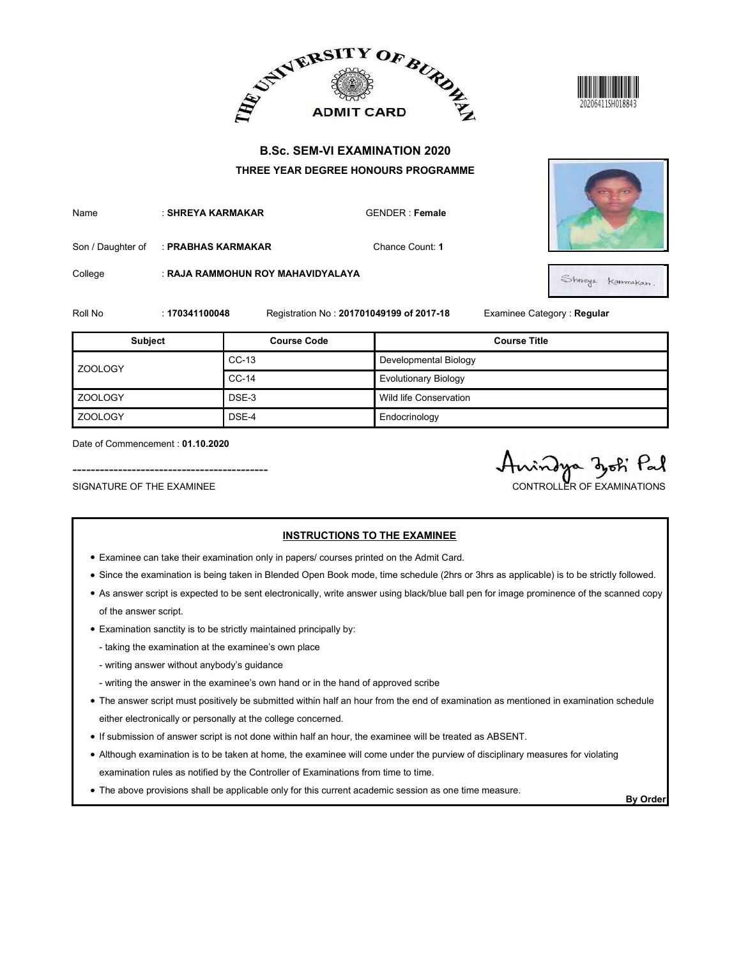





|                                                               |                    |                                                                                          | ADMIT CARD BURDE                         | 20206411SH018843                              |
|---------------------------------------------------------------|--------------------|------------------------------------------------------------------------------------------|------------------------------------------|-----------------------------------------------|
|                                                               |                    |                                                                                          | <b>B.Sc. SEM-VI EXAMINATION 2020</b>     |                                               |
|                                                               |                    |                                                                                          | THREE YEAR DEGREE HONOURS PROGRAMME      |                                               |
| Name                                                          | : SHREYA KARMAKAR  |                                                                                          | <b>GENDER: Female</b>                    |                                               |
| Son / Daughter of                                             | : PRABHAS KARMAKAR |                                                                                          | Chance Count: 1                          |                                               |
| College                                                       |                    | : RAJA RAMMOHUN ROY MAHAVIDYALAYA                                                        |                                          | Shireya Karomakan.                            |
| Roll No                                                       | : 170341100048     |                                                                                          | Registration No: 201701049199 of 2017-18 | Examinee Category: Regular                    |
| Subject                                                       |                    | <b>Course Code</b>                                                                       |                                          | <b>Course Title</b>                           |
|                                                               |                    | $CC-13$                                                                                  | Developmental Biology                    |                                               |
| ZOOLOGY                                                       |                    | $CC-14$                                                                                  | <b>Evolutionary Biology</b>              |                                               |
| <b>ZOOLOGY</b>                                                |                    | DSE-3                                                                                    | Wild life Conservation                   |                                               |
| ZOOLOGY                                                       |                    | DSE-4                                                                                    | Endocrinology                            |                                               |
| Date of Commencement: 01.10.2020<br>SIGNATURE OF THE EXAMINEE |                    |                                                                                          |                                          | indya djoti Pal<br>CONTROLLER OF EXAMINATIONS |
|                                                               |                    | • Examinee can take their examination only in papers/ courses printed on the Admit Card. | <b>INSTRUCTIONS TO THE EXAMINEE</b>      |                                               |

- Examinee can take their examination only in papers/ courses printed on the Admit Card.
- Since the examination is being taken in Blended Open Book mode, time schedule (2hrs or 3hrs as applicable) is to be strictly followed.
- As answer script is expected to be sent electronically, write answer using black/blue ball pen for image prominence of the scanned copy of the answer script.
- Examination sanctity is to be strictly maintained principally by:
	- taking the examination at the examinee's own place
	- writing answer without anybody's guidance
	- writing the answer in the examinee's own hand or in the hand of approved scribe
- The answer script must positively be submitted within half an hour from the end of examination as mentioned in examination schedule either electronically or personally at the college concerned.
- If submission of answer script is not done within half an hour, the examinee will be treated as ABSENT.
- Although examination is to be taken at home, the examinee will come under the purview of disciplinary measures for violating examination rules as notified by the Controller of Examinations from time to time.
- The above provisions shall be applicable only for this current academic session as one time measure.<br>By Order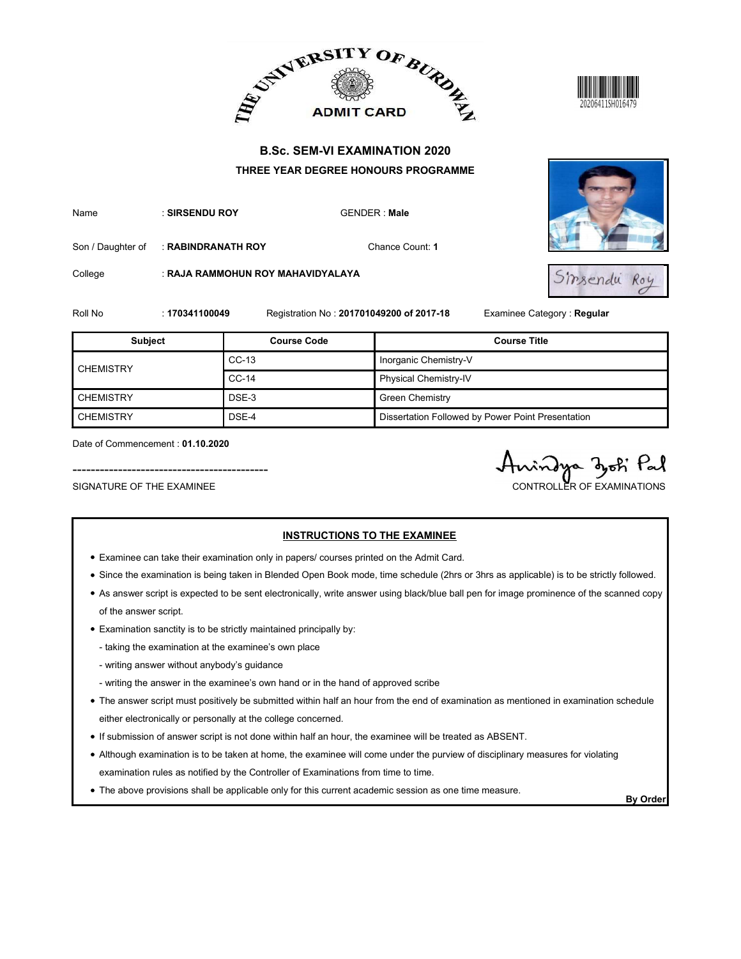





|                   |                    |                                   | ADMIT CARD BURDE                                  |                            |
|-------------------|--------------------|-----------------------------------|---------------------------------------------------|----------------------------|
|                   |                    |                                   | <b>B.Sc. SEM-VI EXAMINATION 2020</b>              |                            |
|                   |                    |                                   | THREE YEAR DEGREE HONOURS PROGRAMME               |                            |
| Name              | : SIRSENDU ROY     |                                   | <b>GENDER: Male</b>                               |                            |
| Son / Daughter of | : RABINDRANATH ROY |                                   | Chance Count: 1                                   |                            |
| College           |                    | : RAJA RAMMOHUN ROY MAHAVIDYALAYA |                                                   | Sirsendu Roy               |
| Roll No           | : 170341100049     |                                   | Registration No: 201701049200 of 2017-18          | Examinee Category: Regular |
|                   |                    |                                   |                                                   |                            |
| <b>Subject</b>    |                    | <b>Course Code</b>                |                                                   | <b>Course Title</b>        |
|                   |                    | $CC-13$                           | Inorganic Chemistry-V                             |                            |
| <b>CHEMISTRY</b>  |                    | $CC-14$                           | Physical Chemistry-IV                             |                            |
| <b>CHEMISTRY</b>  |                    | DSE-3                             | <b>Green Chemistry</b>                            |                            |
| <b>CHEMISTRY</b>  |                    | DSE-4                             | Dissertation Followed by Power Point Presentation |                            |

- Examinee can take their examination only in papers/ courses printed on the Admit Card.
- Since the examination is being taken in Blended Open Book mode, time schedule (2hrs or 3hrs as applicable) is to be strictly followed.
- As answer script is expected to be sent electronically, write answer using black/blue ball pen for image prominence of the scanned copy of the answer script.
- Examination sanctity is to be strictly maintained principally by:
	- taking the examination at the examinee's own place
	- writing answer without anybody's guidance
	- writing the answer in the examinee's own hand or in the hand of approved scribe
- The answer script must positively be submitted within half an hour from the end of examination as mentioned in examination schedule either electronically or personally at the college concerned.
- If submission of answer script is not done within half an hour, the examinee will be treated as ABSENT.
- Although examination is to be taken at home, the examinee will come under the purview of disciplinary measures for violating examination rules as notified by the Controller of Examinations from time to time.
- The above provisions shall be applicable only for this current academic session as one time measure.<br>By Order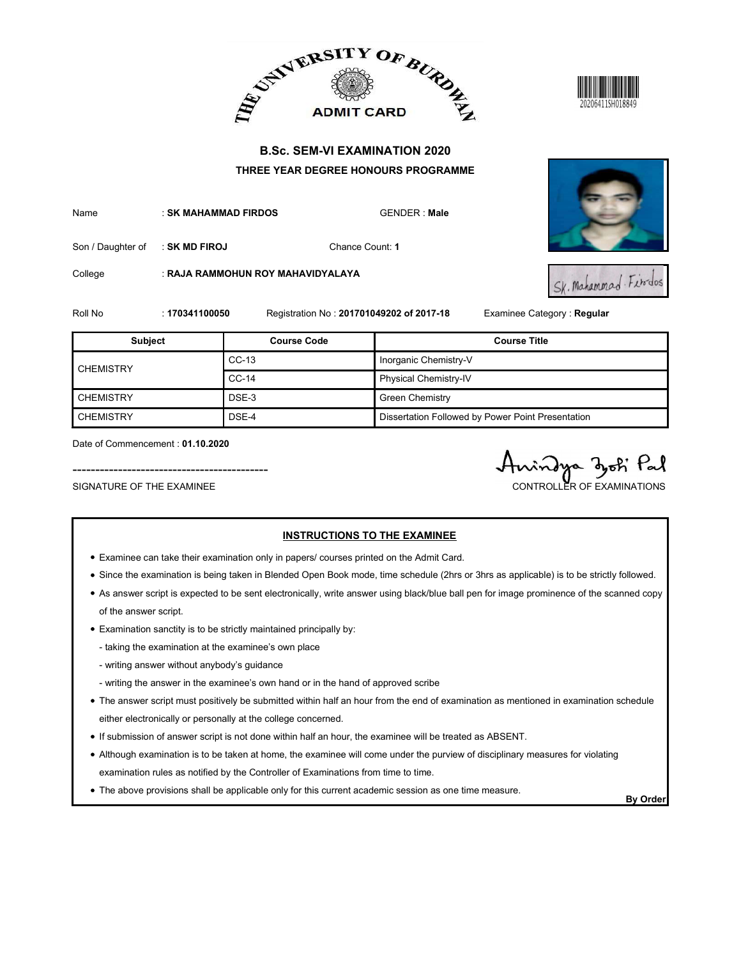



|                   |                      |                                   | ADMIT CARD BURDE                                  |                            |
|-------------------|----------------------|-----------------------------------|---------------------------------------------------|----------------------------|
|                   |                      |                                   | <b>B.Sc. SEM-VI EXAMINATION 2020</b>              |                            |
|                   |                      |                                   | THREE YEAR DEGREE HONOURS PROGRAMME               |                            |
| Name              | : SK MAHAMMAD FIRDOS |                                   | <b>GENDER: Male</b>                               |                            |
| Son / Daughter of | : SK MD FIROJ        |                                   | Chance Count: 1                                   |                            |
| College           |                      | : RAJA RAMMOHUN ROY MAHAVIDYALAYA |                                                   | Sk. Mahammad Firdos        |
| Roll No           | : 170341100050       |                                   | Registration No: 201701049202 of 2017-18          | Examinee Category: Regular |
|                   |                      |                                   |                                                   |                            |
| <b>Subject</b>    |                      | <b>Course Code</b>                |                                                   | <b>Course Title</b>        |
|                   |                      | $CC-13$                           | Inorganic Chemistry-V                             |                            |
| <b>CHEMISTRY</b>  |                      | $CC-14$                           | Physical Chemistry-IV                             |                            |
| <b>CHEMISTRY</b>  |                      | DSE-3                             | <b>Green Chemistry</b>                            |                            |
| <b>CHEMISTRY</b>  |                      | DSE-4                             | Dissertation Followed by Power Point Presentation |                            |

- Examinee can take their examination only in papers/ courses printed on the Admit Card.
- Since the examination is being taken in Blended Open Book mode, time schedule (2hrs or 3hrs as applicable) is to be strictly followed.
- As answer script is expected to be sent electronically, write answer using black/blue ball pen for image prominence of the scanned copy of the answer script.
- Examination sanctity is to be strictly maintained principally by:
	- taking the examination at the examinee's own place
	- writing answer without anybody's guidance
	- writing the answer in the examinee's own hand or in the hand of approved scribe
- The answer script must positively be submitted within half an hour from the end of examination as mentioned in examination schedule either electronically or personally at the college concerned.
- If submission of answer script is not done within half an hour, the examinee will be treated as ABSENT.
- Although examination is to be taken at home, the examinee will come under the purview of disciplinary measures for violating examination rules as notified by the Controller of Examinations from time to time.
- The above provisions shall be applicable only for this current academic session as one time measure.<br>By Order

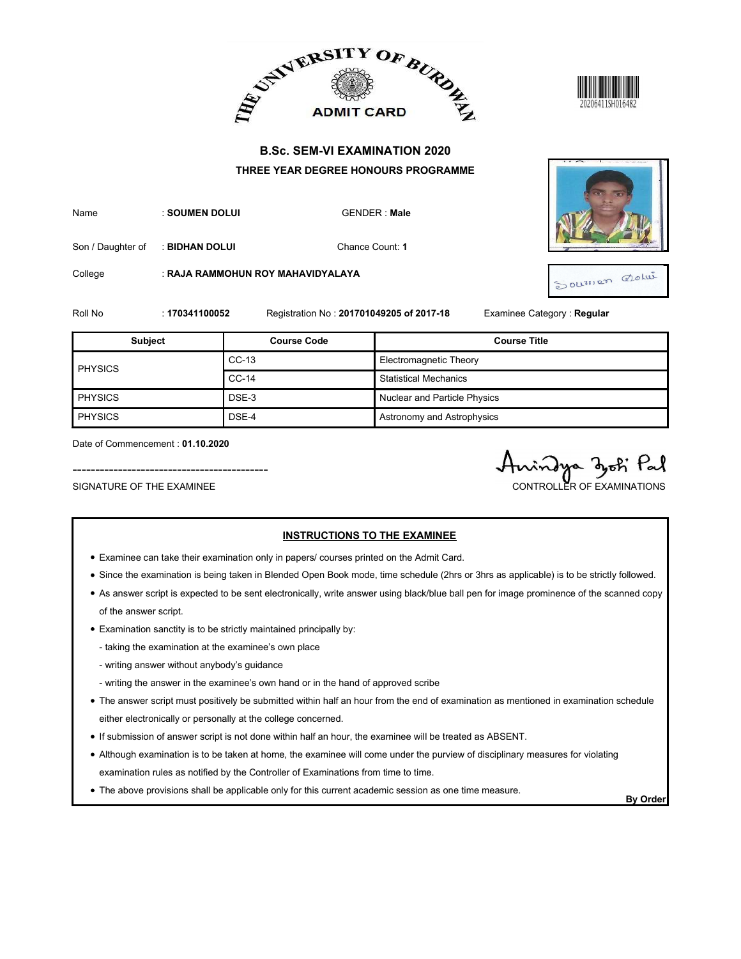



| Name | : SOUMEN DOLUI | GENDER: Ma |
|------|----------------|------------|
|      |                |            |



|                                                               |                |                                                                                          | ADMIT CARD AND ALLEY ADMIT CARD AT       |                                                |
|---------------------------------------------------------------|----------------|------------------------------------------------------------------------------------------|------------------------------------------|------------------------------------------------|
|                                                               |                |                                                                                          | <b>B.Sc. SEM-VI EXAMINATION 2020</b>     |                                                |
|                                                               |                |                                                                                          | THREE YEAR DEGREE HONOURS PROGRAMME      |                                                |
| Name                                                          | : SOUMEN DOLUI |                                                                                          | <b>GENDER: Male</b>                      |                                                |
| Son / Daughter of                                             | : BIDHAN DOLUI |                                                                                          | Chance Count: 1                          |                                                |
| College                                                       |                | : RAJA RAMMOHUN ROY MAHAVIDYALAYA                                                        |                                          | Sourner Dolui                                  |
| Roll No                                                       | : 170341100052 |                                                                                          | Registration No: 201701049205 of 2017-18 | Examinee Category: Regular                     |
| Subject                                                       |                | <b>Course Code</b>                                                                       |                                          | <b>Course Title</b>                            |
| <b>PHYSICS</b>                                                |                | $CC-13$                                                                                  | Electromagnetic Theory                   |                                                |
|                                                               |                | $CC-14$                                                                                  | <b>Statistical Mechanics</b>             |                                                |
| PHYSICS                                                       |                | DSE-3                                                                                    | Nuclear and Particle Physics             |                                                |
| PHYSICS                                                       |                | DSE-4                                                                                    | Astronomy and Astrophysics               |                                                |
| Date of Commencement: 01.10.2020<br>SIGNATURE OF THE EXAMINEE |                |                                                                                          |                                          | rindya dyoti Pal<br>CONTROLLER OF EXAMINATIONS |
|                                                               |                | • Examinee can take their examination only in papers/ courses printed on the Admit Card. | <b>INSTRUCTIONS TO THE EXAMINEE</b>      |                                                |

- Examinee can take their examination only in papers/ courses printed on the Admit Card.
- Since the examination is being taken in Blended Open Book mode, time schedule (2hrs or 3hrs as applicable) is to be strictly followed.
- As answer script is expected to be sent electronically, write answer using black/blue ball pen for image prominence of the scanned copy of the answer script.
- Examination sanctity is to be strictly maintained principally by:
	- taking the examination at the examinee's own place
	- writing answer without anybody's guidance
	- writing the answer in the examinee's own hand or in the hand of approved scribe
- The answer script must positively be submitted within half an hour from the end of examination as mentioned in examination schedule either electronically or personally at the college concerned.
- If submission of answer script is not done within half an hour, the examinee will be treated as ABSENT.
- Although examination is to be taken at home, the examinee will come under the purview of disciplinary measures for violating examination rules as notified by the Controller of Examinations from time to time.
- The above provisions shall be applicable only for this current academic session as one time measure.<br>By Order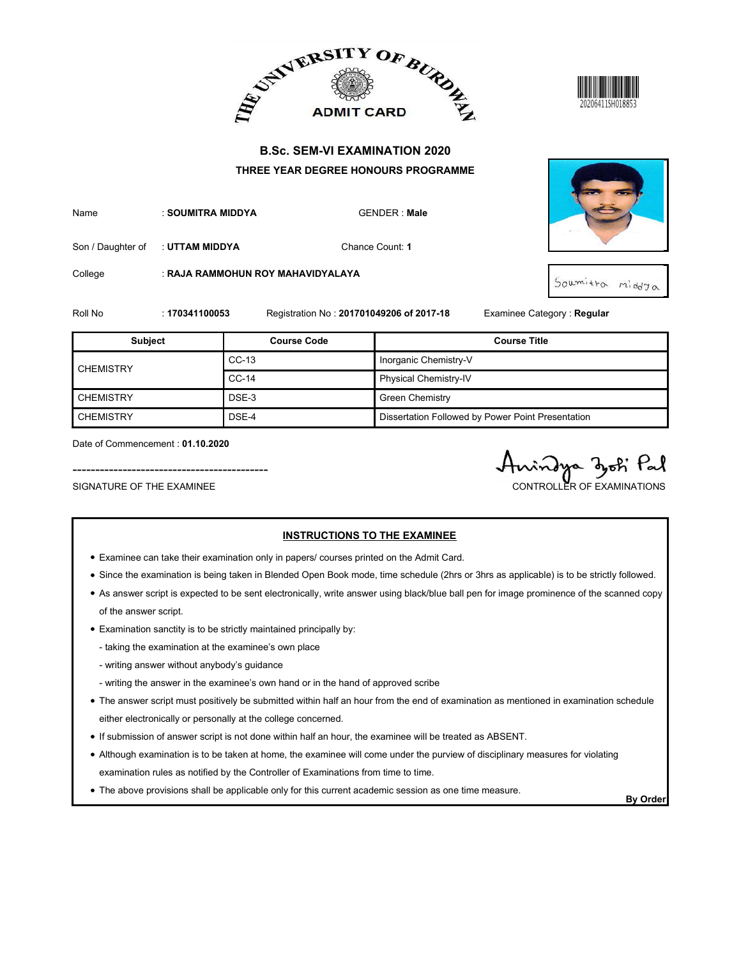





|                             |                   |                                   | ADMIT CARD BURDE                                                            | 20206411SH018853           |
|-----------------------------|-------------------|-----------------------------------|-----------------------------------------------------------------------------|----------------------------|
|                             |                   |                                   | <b>B.Sc. SEM-VI EXAMINATION 2020</b><br>THREE YEAR DEGREE HONOURS PROGRAMME |                            |
| Name                        | : SOUMITRA MIDDYA |                                   | <b>GENDER: Male</b>                                                         |                            |
| Son / Daughter of           | : UTTAM MIDDYA    |                                   | Chance Count: 1                                                             |                            |
| College                     |                   | : RAJA RAMMOHUN ROY MAHAVIDYALAYA |                                                                             | Soumitra middya            |
|                             |                   |                                   |                                                                             |                            |
|                             | : 170341100053    |                                   | Registration No: 201701049206 of 2017-18                                    | Examinee Category: Regular |
| <b>Subject</b>              |                   | <b>Course Code</b>                |                                                                             | <b>Course Title</b>        |
|                             |                   | $CC-13$                           | Inorganic Chemistry-V                                                       |                            |
| <b>CHEMISTRY</b>            |                   | $CC-14$                           | Physical Chemistry-IV                                                       |                            |
| <b>CHEMISTRY</b>            |                   | DSE-3                             | <b>Green Chemistry</b>                                                      |                            |
| Roll No<br><b>CHEMISTRY</b> |                   | DSE-4                             | Dissertation Followed by Power Point Presentation                           |                            |

- Examinee can take their examination only in papers/ courses printed on the Admit Card.
- Since the examination is being taken in Blended Open Book mode, time schedule (2hrs or 3hrs as applicable) is to be strictly followed.
- As answer script is expected to be sent electronically, write answer using black/blue ball pen for image prominence of the scanned copy of the answer script.
- Examination sanctity is to be strictly maintained principally by:
	- taking the examination at the examinee's own place
	- writing answer without anybody's guidance
	- writing the answer in the examinee's own hand or in the hand of approved scribe
- The answer script must positively be submitted within half an hour from the end of examination as mentioned in examination schedule either electronically or personally at the college concerned.
- If submission of answer script is not done within half an hour, the examinee will be treated as ABSENT.
- Although examination is to be taken at home, the examinee will come under the purview of disciplinary measures for violating examination rules as notified by the Controller of Examinations from time to time.
- The above provisions shall be applicable only for this current academic session as one time measure.<br>By Order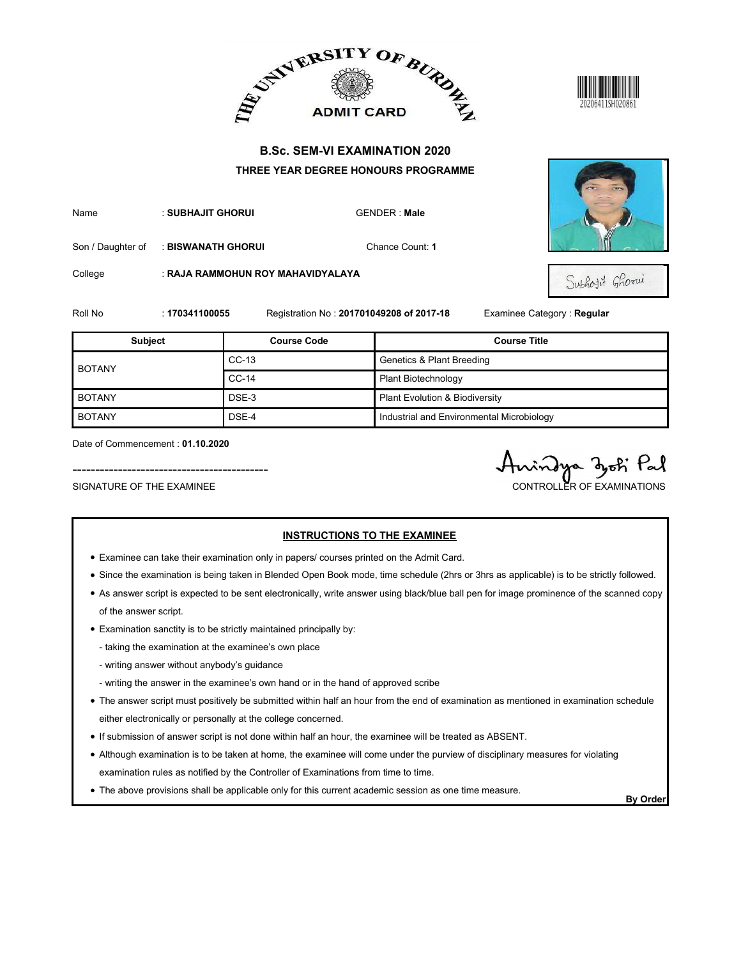





|                   |                    |                                   | ADMIT CARD BURDE                                                            |                                                   |
|-------------------|--------------------|-----------------------------------|-----------------------------------------------------------------------------|---------------------------------------------------|
|                   |                    |                                   | <b>B.Sc. SEM-VI EXAMINATION 2020</b><br>THREE YEAR DEGREE HONOURS PROGRAMME |                                                   |
| Name              | : SUBHAJIT GHORUI  |                                   | <b>GENDER: Male</b>                                                         |                                                   |
| Son / Daughter of | : BISWANATH GHORUI |                                   | Chance Count: 1                                                             |                                                   |
| College           |                    | : RAJA RAMMOHUN ROY MAHAVIDYALAYA |                                                                             | Subhojit Ghorui                                   |
|                   |                    |                                   |                                                                             |                                                   |
| Roll No           | : 170341100055     | <b>Course Code</b>                | Registration No: 201701049208 of 2017-18                                    | Examinee Category: Regular<br><b>Course Title</b> |
| <b>Subject</b>    |                    | $CC-13$                           | <b>Genetics &amp; Plant Breeding</b>                                        |                                                   |
| <b>BOTANY</b>     |                    | $CC-14$                           | Plant Biotechnology                                                         |                                                   |
| <b>BOTANY</b>     |                    | DSE-3                             | Plant Evolution & Biodiversity                                              |                                                   |
| <b>BOTANY</b>     |                    | DSE-4                             | Industrial and Environmental Microbiology                                   |                                                   |

- Examinee can take their examination only in papers/ courses printed on the Admit Card.
- Since the examination is being taken in Blended Open Book mode, time schedule (2hrs or 3hrs as applicable) is to be strictly followed.
- As answer script is expected to be sent electronically, write answer using black/blue ball pen for image prominence of the scanned copy of the answer script.
- Examination sanctity is to be strictly maintained principally by:
	- taking the examination at the examinee's own place
	- writing answer without anybody's guidance
	- writing the answer in the examinee's own hand or in the hand of approved scribe
- The answer script must positively be submitted within half an hour from the end of examination as mentioned in examination schedule either electronically or personally at the college concerned.
- If submission of answer script is not done within half an hour, the examinee will be treated as ABSENT.
- Although examination is to be taken at home, the examinee will come under the purview of disciplinary measures for violating examination rules as notified by the Controller of Examinations from time to time.
- The above provisions shall be applicable only for this current academic session as one time measure.<br>By Order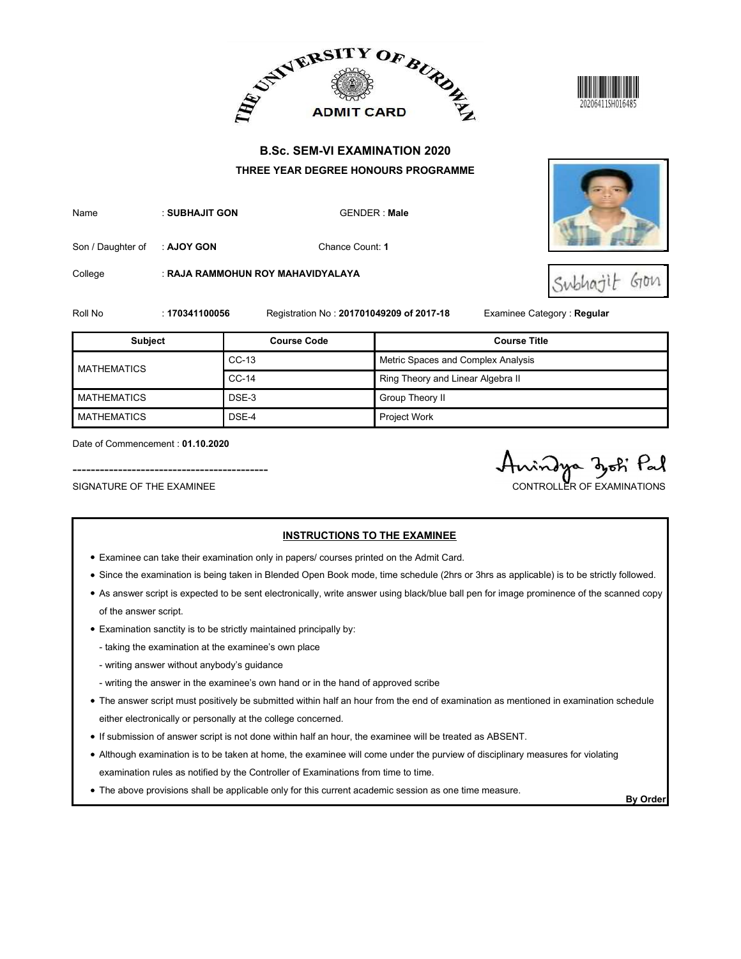





|                    |                                  | ADMIT CARD BURDE                         |                                    |                             |
|--------------------|----------------------------------|------------------------------------------|------------------------------------|-----------------------------|
|                    |                                  | <b>B.Sc. SEM-VI EXAMINATION 2020</b>     |                                    |                             |
|                    |                                  | THREE YEAR DEGREE HONOURS PROGRAMME      |                                    |                             |
| Name               | : SUBHAJIT GON                   |                                          | <b>GENDER: Male</b>                |                             |
| Son / Daughter of  | : AJOY GON                       | Chance Count: 1                          |                                    |                             |
| College            |                                  | : RAJA RAMMOHUN ROY MAHAVIDYALAYA        |                                    | GION                        |
| Roll No            | : 170341100056                   | Registration No: 201701049209 of 2017-18 |                                    | Examinee Category : Regular |
| <b>Subject</b>     |                                  | <b>Course Code</b>                       |                                    | <b>Course Title</b>         |
| <b>MATHEMATICS</b> |                                  | $CC-13$                                  | Metric Spaces and Complex Analysis |                             |
|                    |                                  | $CC-14$                                  | Ring Theory and Linear Algebra II  |                             |
| <b>MATHEMATICS</b> |                                  | DSE-3                                    | Group Theory II                    |                             |
| <b>MATHEMATICS</b> |                                  | DSE-4                                    | Project Work                       |                             |
|                    | Date of Commencement: 01.10.2020 |                                          |                                    | indya dok Pal               |

- Examinee can take their examination only in papers/ courses printed on the Admit Card.
- Since the examination is being taken in Blended Open Book mode, time schedule (2hrs or 3hrs as applicable) is to be strictly followed.
- As answer script is expected to be sent electronically, write answer using black/blue ball pen for image prominence of the scanned copy of the answer script.
- Examination sanctity is to be strictly maintained principally by:
	- taking the examination at the examinee's own place
	- writing answer without anybody's guidance
	- writing the answer in the examinee's own hand or in the hand of approved scribe
- The answer script must positively be submitted within half an hour from the end of examination as mentioned in examination schedule either electronically or personally at the college concerned.
- If submission of answer script is not done within half an hour, the examinee will be treated as ABSENT.
- Although examination is to be taken at home, the examinee will come under the purview of disciplinary measures for violating examination rules as notified by the Controller of Examinations from time to time.
- The above provisions shall be applicable only for this current academic session as one time measure.<br>By Order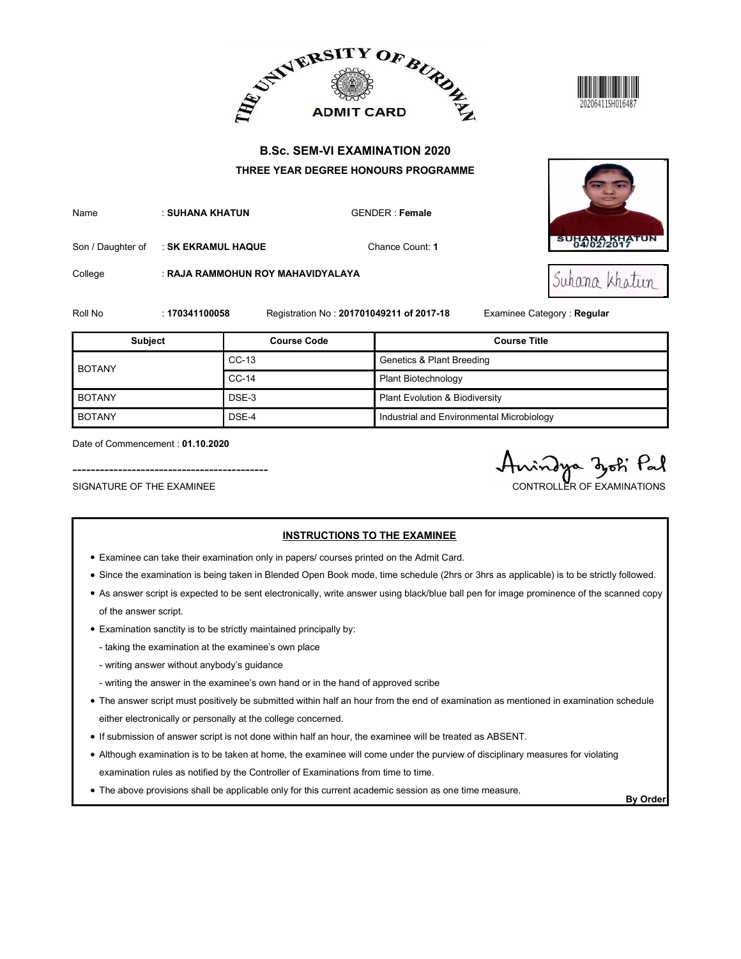





|                                                               |                    |                                   | ADMIT CARD AND ALLEY ADMIT CARD AT                                                                                              |                                              |
|---------------------------------------------------------------|--------------------|-----------------------------------|---------------------------------------------------------------------------------------------------------------------------------|----------------------------------------------|
|                                                               |                    |                                   | <b>B.Sc. SEM-VI EXAMINATION 2020</b><br>THREE YEAR DEGREE HONOURS PROGRAMME                                                     |                                              |
| Name                                                          | : SUHANA KHATUN    |                                   | <b>GENDER: Female</b>                                                                                                           |                                              |
| Son / Daughter of                                             | : SK EKRAMUL HAQUE |                                   | Chance Count: 1                                                                                                                 | <b>SUHANA KHATUN</b><br>04/02/2017           |
| College                                                       |                    | : RAJA RAMMOHUN ROY MAHAVIDYALAYA |                                                                                                                                 | Suhana Khatun                                |
| Roll No                                                       | : 170341100058     |                                   | Registration No: 201701049211 of 2017-18                                                                                        | Examinee Category: Regular                   |
| <b>Subject</b>                                                |                    | <b>Course Code</b>                |                                                                                                                                 | <b>Course Title</b>                          |
|                                                               |                    | $CC-13$                           | <b>Genetics &amp; Plant Breeding</b>                                                                                            |                                              |
| <b>BOTANY</b>                                                 |                    | $CC-14$                           | Plant Biotechnology                                                                                                             |                                              |
| <b>BOTANY</b>                                                 |                    | DSE-3                             | Plant Evolution & Biodiversity                                                                                                  |                                              |
| <b>BOTANY</b>                                                 |                    | DSE-4                             | Industrial and Environmental Microbiology                                                                                       |                                              |
| Date of Commencement: 01.10.2020<br>SIGNATURE OF THE EXAMINEE |                    |                                   |                                                                                                                                 | indya zoti Pal<br>CONTROLLER OF EXAMINATIONS |
|                                                               |                    |                                   | <b>INSTRUCTIONS TO THE EXAMINEE</b><br>• Examinee can take their examination only in papers/ courses printed on the Admit Card. |                                              |

- Examinee can take their examination only in papers/ courses printed on the Admit Card.
- Since the examination is being taken in Blended Open Book mode, time schedule (2hrs or 3hrs as applicable) is to be strictly followed.
- As answer script is expected to be sent electronically, write answer using black/blue ball pen for image prominence of the scanned copy of the answer script.
- Examination sanctity is to be strictly maintained principally by:
	- taking the examination at the examinee's own place
	- writing answer without anybody's guidance
	- writing the answer in the examinee's own hand or in the hand of approved scribe
- The answer script must positively be submitted within half an hour from the end of examination as mentioned in examination schedule either electronically or personally at the college concerned.
- If submission of answer script is not done within half an hour, the examinee will be treated as ABSENT.
- Although examination is to be taken at home, the examinee will come under the purview of disciplinary measures for violating examination rules as notified by the Controller of Examinations from time to time.
- The above provisions shall be applicable only for this current academic session as one time measure.<br>By Order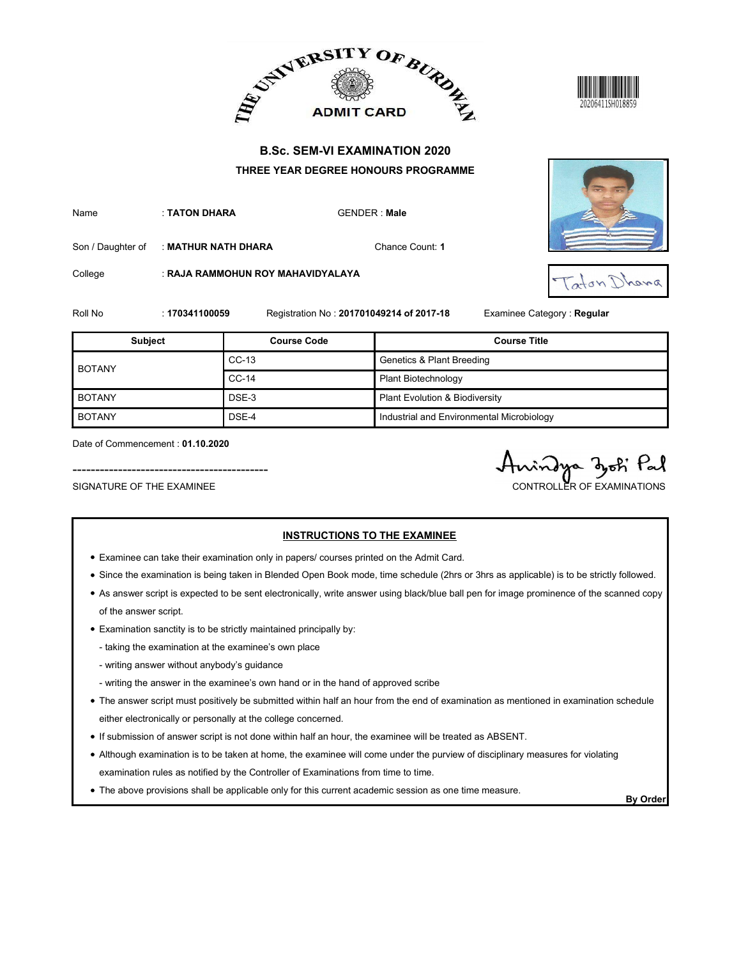



| Name | : TATON DHARA | <b>GENDE</b> |
|------|---------------|--------------|
|      |               |              |





|                                                               |                     |                                                                                          | ADMIT CARD BURDE                                                            | 20206411SH018859                             |  |
|---------------------------------------------------------------|---------------------|------------------------------------------------------------------------------------------|-----------------------------------------------------------------------------|----------------------------------------------|--|
|                                                               |                     |                                                                                          | <b>B.Sc. SEM-VI EXAMINATION 2020</b><br>THREE YEAR DEGREE HONOURS PROGRAMME |                                              |  |
| Name                                                          | : TATON DHARA       |                                                                                          | <b>GENDER: Male</b>                                                         |                                              |  |
| Son / Daughter of                                             | : MATHUR NATH DHARA |                                                                                          | Chance Count: 1                                                             |                                              |  |
| College                                                       |                     | : RAJA RAMMOHUN ROY MAHAVIDYALAYA                                                        |                                                                             | Taton Dhana                                  |  |
| Roll No                                                       | : 170341100059      |                                                                                          | Registration No: 201701049214 of 2017-18                                    | Examinee Category : Regular                  |  |
| Subject                                                       |                     | <b>Course Code</b>                                                                       |                                                                             | <b>Course Title</b>                          |  |
| <b>BOTANY</b>                                                 |                     | $CC-13$                                                                                  |                                                                             | <b>Genetics &amp; Plant Breeding</b>         |  |
|                                                               |                     | $CC-14$                                                                                  | Plant Biotechnology                                                         |                                              |  |
| <b>BOTANY</b>                                                 |                     | DSE-3                                                                                    | Plant Evolution & Biodiversity                                              |                                              |  |
| <b>BOTANY</b>                                                 |                     | DSE-4                                                                                    | Industrial and Environmental Microbiology                                   |                                              |  |
| Date of Commencement: 01.10.2020<br>SIGNATURE OF THE EXAMINEE |                     |                                                                                          |                                                                             | indya zoki Pal<br>CONTROLLER OF EXAMINATIONS |  |
|                                                               |                     | • Examinee can take their examination only in papers/ courses printed on the Admit Card. | <b>INSTRUCTIONS TO THE EXAMINEE</b>                                         |                                              |  |

- Examinee can take their examination only in papers/ courses printed on the Admit Card.
- Since the examination is being taken in Blended Open Book mode, time schedule (2hrs or 3hrs as applicable) is to be strictly followed.
- As answer script is expected to be sent electronically, write answer using black/blue ball pen for image prominence of the scanned copy of the answer script.
- Examination sanctity is to be strictly maintained principally by:
	- taking the examination at the examinee's own place
	- writing answer without anybody's guidance
	- writing the answer in the examinee's own hand or in the hand of approved scribe
- The answer script must positively be submitted within half an hour from the end of examination as mentioned in examination schedule either electronically or personally at the college concerned.
- If submission of answer script is not done within half an hour, the examinee will be treated as ABSENT.
- Although examination is to be taken at home, the examinee will come under the purview of disciplinary measures for violating examination rules as notified by the Controller of Examinations from time to time.
- The above provisions shall be applicable only for this current academic session as one time measure.<br>By Order